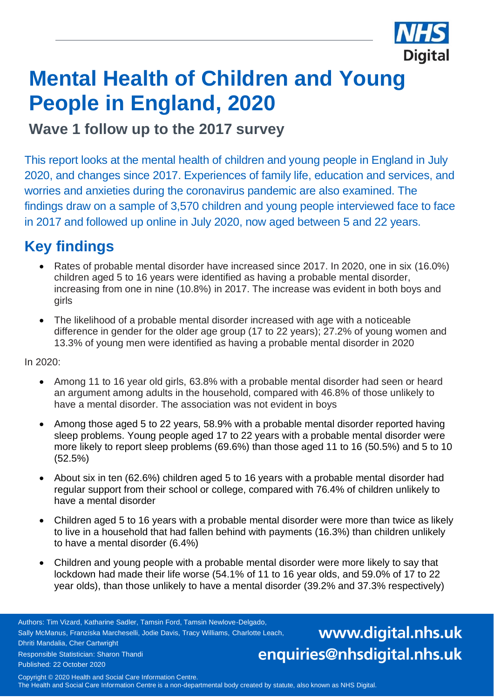

# **Mental Health of Children and Young People in England, 2020**

**Wave 1 follow up to the 2017 survey** 

This report looks at the mental health of children and young people in England in July 2020, and changes since 2017. Experiences of family life, education and services, and worries and anxieties during the coronavirus pandemic are also examined. The findings draw on a sample of 3,570 children and young people interviewed face to face in 2017 and followed up online in July 2020, now aged between 5 and 22 years.

### **Key findings**

- Rates of probable mental disorder have increased since 2017. In 2020, one in six (16.0%) children aged 5 to 16 years were identified as having a probable mental disorder, increasing from one in nine (10.8%) in 2017. The increase was evident in both boys and girls
- The likelihood of a probable mental disorder increased with age with a noticeable difference in gender for the older age group (17 to 22 years); 27.2% of young women and 13.3% of young men were identified as having a probable mental disorder in 2020

In 2020:

- Among 11 to 16 year old girls, 63.8% with a probable mental disorder had seen or heard an argument among adults in the household, compared with 46.8% of those unlikely to have a mental disorder. The association was not evident in boys
- Among those aged 5 to 22 years, 58.9% with a probable mental disorder reported having sleep problems. Young people aged 17 to 22 years with a probable mental disorder were more likely to report sleep problems (69.6%) than those aged 11 to 16 (50.5%) and 5 to 10 (52.5%)
- About six in ten (62.6%) children aged 5 to 16 years with a probable mental disorder had regular support from their school or college, compared with 76.4% of children unlikely to have a mental disorder
- Children aged 5 to 16 years with a probable mental disorder were more than twice as likely to live in a household that had fallen behind with payments (16.3%) than children unlikely to have a mental disorder (6.4%)
- Children and young people with a probable mental disorder were more likely to say that lockdown had made their life worse (54.1% of 11 to 16 year olds, and 59.0% of 17 to 22 year olds), than those unlikely to have a mental disorder (39.2% and 37.3% respectively)

Authors: Tim Vizard, Katharine Sadler, Tamsin Ford, Tamsin Newlove-Delgado, Sally McManus, Franziska Marcheselli, Jodie Davis, Tracy Williams, Charlotte Leach, Dhriti Mandalia, Cher Cartwright Responsible Statistician: Sharon Thandi Published: 22 October 2020

www.digital.nhs.uk enquiries@nhsdigital.nhs.uk

Copyright © 2020 Health and Social Care Information Centre. The Health and Social Care Information Centre is a non-departmental body created by statute, also known as NHS Digital.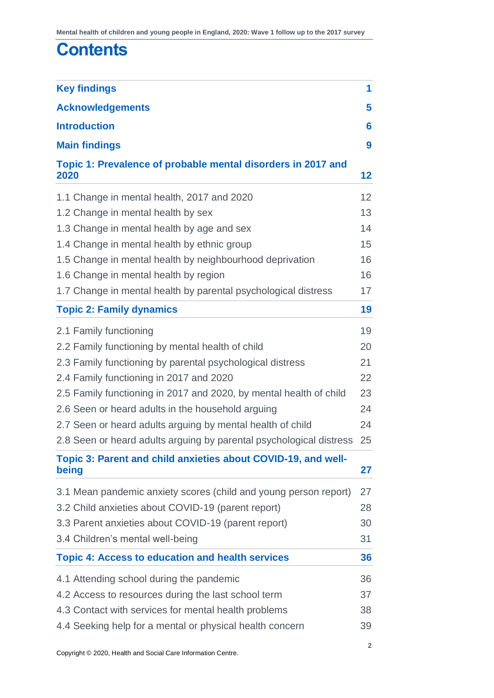### **Contents**

| <b>Key findings</b>                                                    | 1              |
|------------------------------------------------------------------------|----------------|
| <b>Acknowledgements</b>                                                | 5              |
| <b>Introduction</b>                                                    | 6              |
| <b>Main findings</b>                                                   | 9              |
| Topic 1: Prevalence of probable mental disorders in 2017 and<br>2020   | 12             |
| 1.1 Change in mental health, 2017 and 2020                             | 12             |
| 1.2 Change in mental health by sex                                     | 13             |
| 1.3 Change in mental health by age and sex                             | 14             |
| 1.4 Change in mental health by ethnic group                            | 15             |
| 1.5 Change in mental health by neighbourhood deprivation               | 16             |
| 1.6 Change in mental health by region                                  | 16             |
| 1.7 Change in mental health by parental psychological distress         | 17             |
| <b>Topic 2: Family dynamics</b>                                        | 19             |
| 2.1 Family functioning                                                 | 19             |
| 2.2 Family functioning by mental health of child                       | 20             |
| 2.3 Family functioning by parental psychological distress              | 21             |
| 2.4 Family functioning in 2017 and 2020                                | 22             |
| 2.5 Family functioning in 2017 and 2020, by mental health of child     | 23             |
| 2.6 Seen or heard adults in the household arguing                      | 24             |
| 2.7 Seen or heard adults arguing by mental health of child             | 24             |
| 2.8 Seen or heard adults arguing by parental psychological distress    | 25             |
| Topic 3: Parent and child anxieties about COVID-19, and well-<br>being | 27             |
| 3.1 Mean pandemic anxiety scores (child and young person report)       | 27             |
| 3.2 Child anxieties about COVID-19 (parent report)                     | 28             |
| 3.3 Parent anxieties about COVID-19 (parent report)                    | 30             |
| 3.4 Children's mental well-being                                       | 31             |
| <b>Topic 4: Access to education and health services</b>                | 36             |
| 4.1 Attending school during the pandemic                               | 36             |
| 4.2 Access to resources during the last school term                    | 37             |
| 4.3 Contact with services for mental health problems                   | 38             |
| 4.4 Seeking help for a mental or physical health concern               | 39             |
|                                                                        | $\overline{c}$ |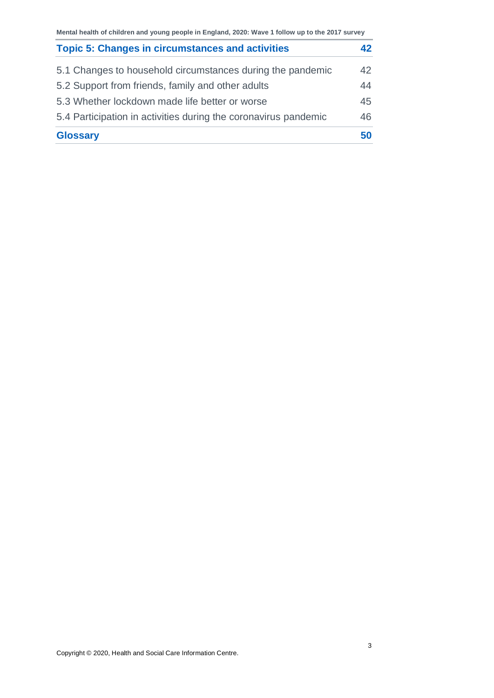| <b>Topic 5: Changes in circumstances and activities</b>         | 42  |
|-----------------------------------------------------------------|-----|
| 5.1 Changes to household circumstances during the pandemic      | 42  |
| 5.2 Support from friends, family and other adults               | 44  |
| 5.3 Whether lockdown made life better or worse                  | 45  |
| 5.4 Participation in activities during the coronavirus pandemic | 46. |
| <b>Glossary</b>                                                 | 50  |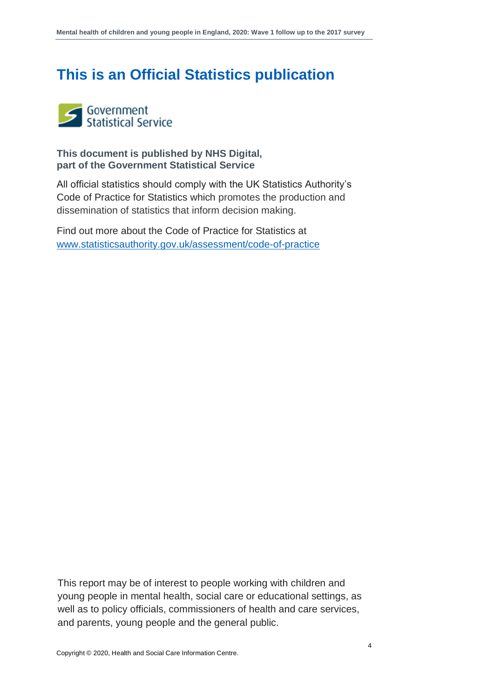### **This is an Official Statistics publication**



**This document is published by NHS Digital, part of the Government Statistical Service**

All official statistics should comply with the UK Statistics Authority's Code of Practice for Statistics which promotes the production and dissemination of statistics that inform decision making.

Find out more about the Code of Practice for Statistics at [www.statisticsauthority.gov.uk/assessment/code-of-practice](http://www.statisticsauthority.gov.uk/assessment/code-of-practice)

This report may be of interest to people working with children and young people in mental health, social care or educational settings, as well as to policy officials, commissioners of health and care services, and parents, young people and the general public.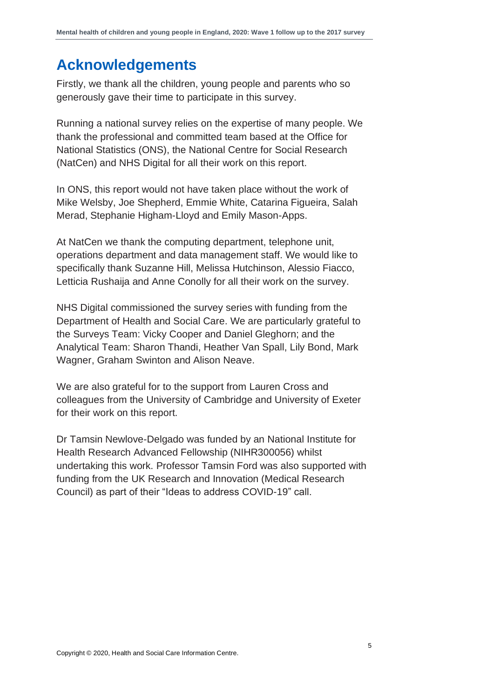### <span id="page-4-0"></span>**Acknowledgements**

Firstly, we thank all the children, young people and parents who so generously gave their time to participate in this survey.

Running a national survey relies on the expertise of many people. We thank the professional and committed team based at the Office for National Statistics (ONS), the National Centre for Social Research (NatCen) and NHS Digital for all their work on this report.

In ONS, this report would not have taken place without the work of Mike Welsby, Joe Shepherd, Emmie White, Catarina Figueira, Salah Merad, Stephanie Higham-Lloyd and Emily Mason-Apps.

At NatCen we thank the computing department, telephone unit, operations department and data management staff. We would like to specifically thank Suzanne Hill, Melissa Hutchinson, Alessio Fiacco, Letticia Rushaija and Anne Conolly for all their work on the survey.

NHS Digital commissioned the survey series with funding from the Department of Health and Social Care. We are particularly grateful to the Surveys Team: Vicky Cooper and Daniel Gleghorn; and the Analytical Team: Sharon Thandi, Heather Van Spall, Lily Bond, Mark Wagner, Graham Swinton and Alison Neave.

We are also grateful for to the support from Lauren Cross and colleagues from the University of Cambridge and University of Exeter for their work on this report.

Dr Tamsin Newlove-Delgado was funded by an National Institute for Health Research Advanced Fellowship (NIHR300056) whilst undertaking this work. Professor Tamsin Ford was also supported with funding from the UK Research and Innovation (Medical Research Council) as part of their "Ideas to address COVID-19" call.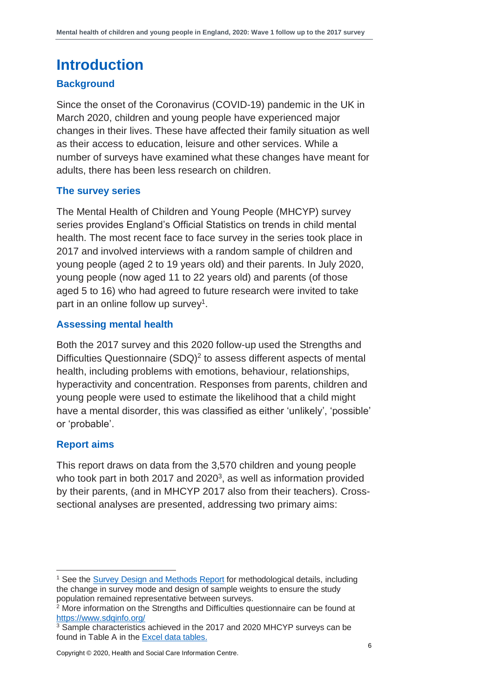### <span id="page-5-0"></span>**Introduction**

#### **Background**

Since the onset of the Coronavirus (COVID-19) pandemic in the UK in March 2020, children and young people have experienced major changes in their lives. These have affected their family situation as well as their access to education, leisure and other services. While a number of surveys have examined what these changes have meant for adults, there has been less research on children.

#### **The survey series**

The Mental Health of Children and Young People (MHCYP) survey series provides England's Official Statistics on trends in child mental health. The most recent face to face survey in the series took place in 2017 and involved interviews with a random sample of children and young people (aged 2 to 19 years old) and their parents. In July 2020, young people (now aged 11 to 22 years old) and parents (of those aged 5 to 16) who had agreed to future research were invited to take part in an online follow up survey<sup>1</sup>.

#### **Assessing mental health**

Both the 2017 survey and this 2020 follow-up used the Strengths and Difficulties Questionnaire (SDQ)<sup>2</sup> to assess different aspects of mental health, including problems with emotions, behaviour, relationships, hyperactivity and concentration. Responses from parents, children and young people were used to estimate the likelihood that a child might have a mental disorder, this was classified as either 'unlikely', 'possible' or 'probable'.

#### **Report aims**

This report draws on data from the 3,570 children and young people who took part in both 2017 and 2020 $3$ , as well as information provided by their parents, (and in MHCYP 2017 also from their teachers). Crosssectional analyses are presented, addressing two primary aims:

<sup>1</sup> See th[e Survey Design and Methods Report](http://digital.nhs.uk/pubs/mhcypsurvey2020w1) for methodological details, including the change in survey mode and design of sample weights to ensure the study population remained representative between surveys.

 $2$  More information on the Strengths and Difficulties questionnaire can be found at <https://www.sdqinfo.org/>

<sup>&</sup>lt;sup>3</sup> Sample characteristics achieved in the 2017 and 2020 MHCYP surveys can be found in Table A in the [Excel data tables.](http://digital.nhs.uk/pubs/mhcypsurvey2020w1)

Copyright © 2020, Health and Social Care Information Centre.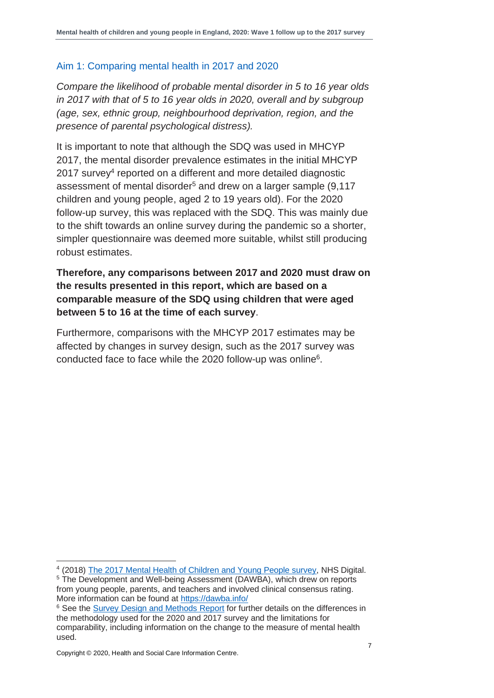#### Aim 1: Comparing mental health in 2017 and 2020

*Compare the likelihood of probable mental disorder in 5 to 16 year olds in 2017 with that of 5 to 16 year olds in 2020, overall and by subgroup (age, sex, ethnic group, neighbourhood deprivation, region, and the presence of parental psychological distress).*

It is important to note that although the SDQ was used in MHCYP 2017, the mental disorder prevalence estimates in the initial MHCYP 2017 survey<sup>4</sup> reported on a different and more detailed diagnostic assessment of mental disorder<sup>5</sup> and drew on a larger sample (9,117 children and young people, aged 2 to 19 years old). For the 2020 follow-up survey, this was replaced with the SDQ. This was mainly due to the shift towards an online survey during the pandemic so a shorter, simpler questionnaire was deemed more suitable, whilst still producing robust estimates.

#### **Therefore, any comparisons between 2017 and 2020 must draw on the results presented in this report, which are based on a comparable measure of the SDQ using children that were aged between 5 to 16 at the time of each survey**.

Furthermore, comparisons with the MHCYP 2017 estimates may be affected by changes in survey design, such as the 2017 survey was conducted face to face while the 2020 follow-up was online<sup>6</sup>.

<sup>&</sup>lt;sup>4</sup> (2018) [The 2017 Mental Health of Children and Young People survey,](https://digital.nhs.uk/data-and-information/publications/statistical/mental-health-of-children-and-young-people-in-england/2017/2017) NHS Digital.

<sup>&</sup>lt;sup>5</sup> The Development and Well-being Assessment (DAWBA), which drew on reports from young people, parents, and teachers and involved clinical consensus rating. More information can be found at<https://dawba.info/>

<sup>&</sup>lt;sup>6</sup> See th[e Survey Design and Methods Report](http://digital.nhs.uk/pubs/mhcypsurvey2020w1) for further details on the differences in the methodology used for the 2020 and 2017 survey and the limitations for comparability, including information on the change to the measure of mental health used.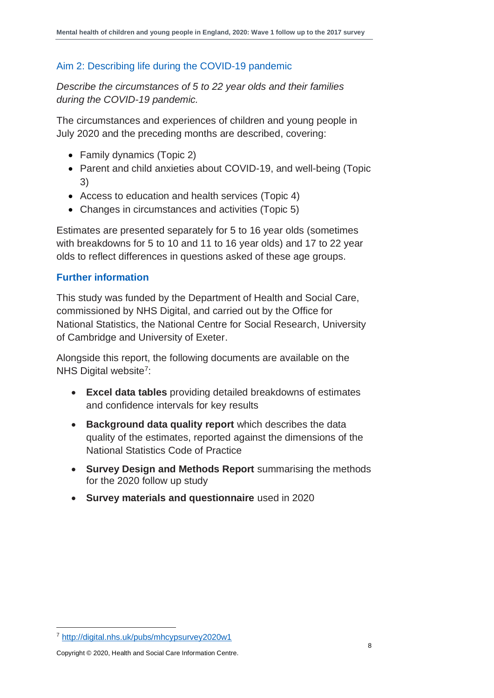#### Aim 2: Describing life during the COVID-19 pandemic

*Describe the circumstances of 5 to 22 year olds and their families during the COVID-19 pandemic.* 

The circumstances and experiences of children and young people in July 2020 and the preceding months are described, covering:

- Family dynamics (Topic 2)
- Parent and child anxieties about COVID-19, and well-being (Topic 3)
- Access to education and health services (Topic 4)
- Changes in circumstances and activities (Topic 5)

Estimates are presented separately for 5 to 16 year olds (sometimes with breakdowns for 5 to 10 and 11 to 16 year olds) and 17 to 22 year olds to reflect differences in questions asked of these age groups.

#### **Further information**

This study was funded by the Department of Health and Social Care, commissioned by NHS Digital, and carried out by the Office for National Statistics, the National Centre for Social Research, University of Cambridge and University of Exeter.

Alongside this report, the following documents are available on the NHS Digital website<sup>7</sup>:

- **Excel data tables** providing detailed breakdowns of estimates and confidence intervals for key results
- **Background data quality report** which describes the data quality of the estimates, reported against the dimensions of the National Statistics Code of Practice
- **Survey Design and Methods Report** summarising the methods for the 2020 follow up study
- **Survey materials and questionnaire** used in 2020

Copyright © 2020, Health and Social Care Information Centre.

<sup>7</sup> <http://digital.nhs.uk/pubs/mhcypsurvey2020w1>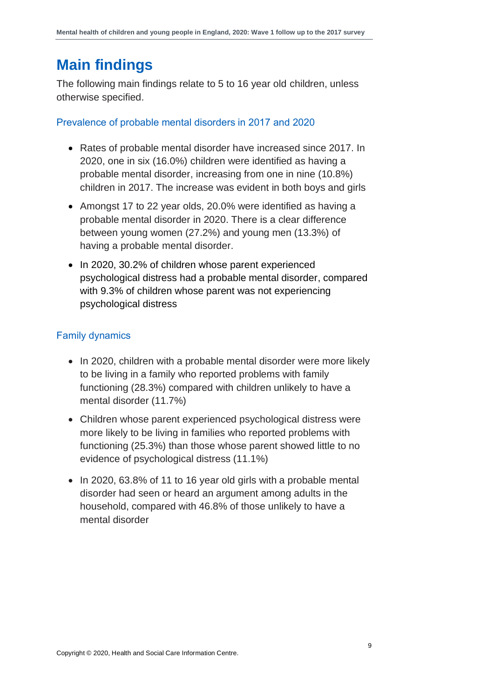### <span id="page-8-0"></span>**Main findings**

The following main findings relate to 5 to 16 year old children, unless otherwise specified.

Prevalence of probable mental disorders in 2017 and 2020

- Rates of probable mental disorder have increased since 2017. In 2020, one in six (16.0%) children were identified as having a probable mental disorder, increasing from one in nine (10.8%) children in 2017. The increase was evident in both boys and girls
- Amongst 17 to 22 year olds, 20.0% were identified as having a probable mental disorder in 2020. There is a clear difference between young women (27.2%) and young men (13.3%) of having a probable mental disorder.
- In 2020, 30.2% of children whose parent experienced psychological distress had a probable mental disorder, compared with 9.3% of children whose parent was not experiencing psychological distress

#### Family dynamics

- In 2020, children with a probable mental disorder were more likely to be living in a family who reported problems with family functioning (28.3%) compared with children unlikely to have a mental disorder (11.7%)
- Children whose parent experienced psychological distress were more likely to be living in families who reported problems with functioning (25.3%) than those whose parent showed little to no evidence of psychological distress (11.1%)
- In 2020, 63.8% of 11 to 16 year old girls with a probable mental disorder had seen or heard an argument among adults in the household, compared with 46.8% of those unlikely to have a mental disorder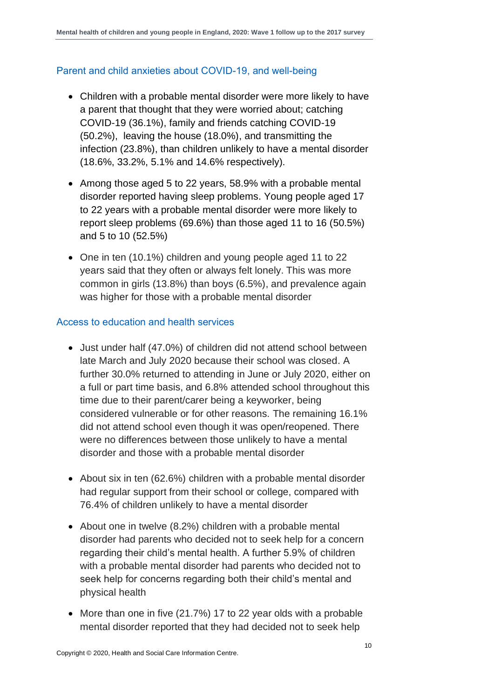#### Parent and child anxieties about COVID-19, and well-being

- Children with a probable mental disorder were more likely to have a parent that thought that they were worried about; catching COVID-19 (36.1%), family and friends catching COVID-19 (50.2%), leaving the house (18.0%), and transmitting the infection (23.8%), than children unlikely to have a mental disorder (18.6%, 33.2%, 5.1% and 14.6% respectively).
- Among those aged 5 to 22 years, 58.9% with a probable mental disorder reported having sleep problems. Young people aged 17 to 22 years with a probable mental disorder were more likely to report sleep problems (69.6%) than those aged 11 to 16 (50.5%) and 5 to 10 (52.5%)
- One in ten (10.1%) children and young people aged 11 to 22 years said that they often or always felt lonely. This was more common in girls (13.8%) than boys (6.5%), and prevalence again was higher for those with a probable mental disorder

#### Access to education and health services

- Just under half (47.0%) of children did not attend school between late March and July 2020 because their school was closed. A further 30.0% returned to attending in June or July 2020, either on a full or part time basis, and 6.8% attended school throughout this time due to their parent/carer being a keyworker, being considered vulnerable or for other reasons. The remaining 16.1% did not attend school even though it was open/reopened. There were no differences between those unlikely to have a mental disorder and those with a probable mental disorder
- About six in ten (62.6%) children with a probable mental disorder had regular support from their school or college, compared with 76.4% of children unlikely to have a mental disorder
- About one in twelve (8.2%) children with a probable mental disorder had parents who decided not to seek help for a concern regarding their child's mental health. A further 5.9% of children with a probable mental disorder had parents who decided not to seek help for concerns regarding both their child's mental and physical health
- More than one in five (21.7%) 17 to 22 year olds with a probable mental disorder reported that they had decided not to seek help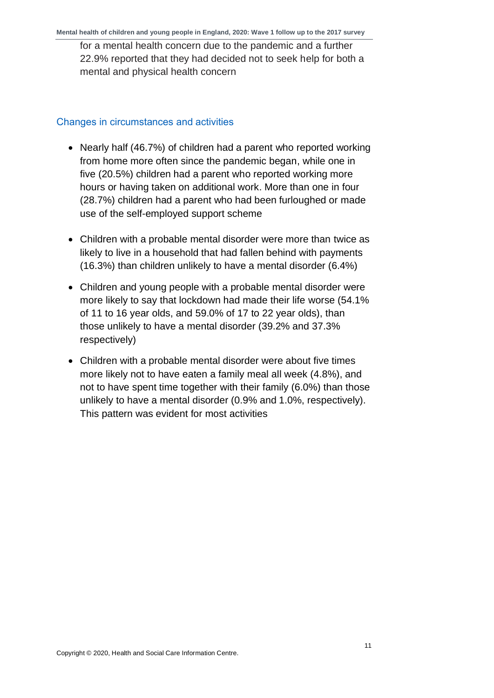for a mental health concern due to the pandemic and a further 22.9% reported that they had decided not to seek help for both a mental and physical health concern

#### Changes in circumstances and activities

- Nearly half (46.7%) of children had a parent who reported working from home more often since the pandemic began, while one in five (20.5%) children had a parent who reported working more hours or having taken on additional work. More than one in four (28.7%) children had a parent who had been furloughed or made use of the self-employed support scheme
- Children with a probable mental disorder were more than twice as likely to live in a household that had fallen behind with payments (16.3%) than children unlikely to have a mental disorder (6.4%)
- Children and young people with a probable mental disorder were more likely to say that lockdown had made their life worse (54.1% of 11 to 16 year olds, and 59.0% of 17 to 22 year olds), than those unlikely to have a mental disorder (39.2% and 37.3% respectively)
- <span id="page-10-0"></span>• Children with a probable mental disorder were about five times more likely not to have eaten a family meal all week (4.8%), and not to have spent time together with their family (6.0%) than those unlikely to have a mental disorder (0.9% and 1.0%, respectively). This pattern was evident for most activities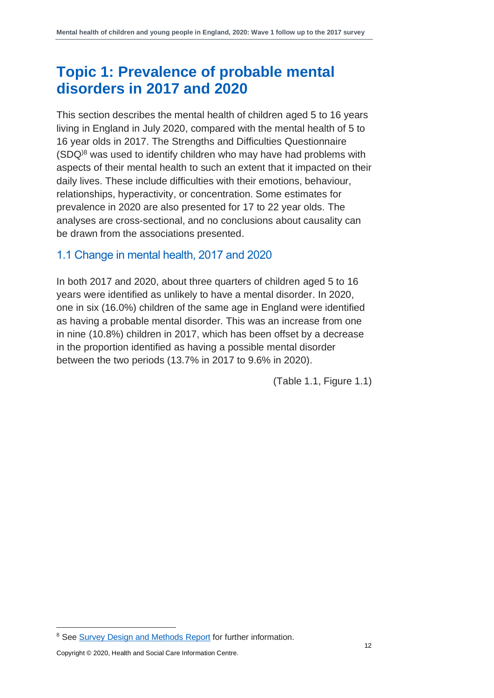### **Topic 1: Prevalence of probable mental disorders in 2017 and 2020**

This section describes the mental health of children aged 5 to 16 years living in England in July 2020, compared with the mental health of 5 to 16 year olds in 2017. The Strengths and Difficulties Questionnaire (SDQ)8 was used to identify children who may have had problems with aspects of their mental health to such an extent that it impacted on their daily lives. These include difficulties with their emotions, behaviour, relationships, hyperactivity, or concentration. Some estimates for prevalence in 2020 are also presented for 17 to 22 year olds. The analyses are cross-sectional, and no conclusions about causality can be drawn from the associations presented.

#### <span id="page-11-0"></span>1.1 Change in mental health, 2017 and 2020

In both 2017 and 2020, about three quarters of children aged 5 to 16 years were identified as unlikely to have a mental disorder. In 2020, one in six (16.0%) children of the same age in England were identified as having a probable mental disorder. This was an increase from one in nine (10.8%) children in 2017, which has been offset by a decrease in the proportion identified as having a possible mental disorder between the two periods (13.7% in 2017 to 9.6% in 2020).

(Table 1.1, Figure 1.1)

<sup>&</sup>lt;sup>8</sup> See [Survey Design and Methods Report](http://digital.nhs.uk/pubs/mhcypsurvey2020w1) for further information.

Copyright © 2020, Health and Social Care Information Centre.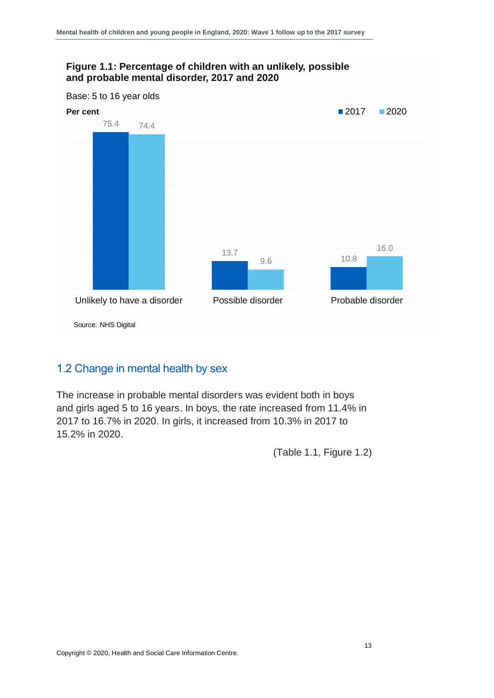

#### <span id="page-12-0"></span>1.2 Change in mental health by sex

The increase in probable mental disorders was evident both in boys and girls aged 5 to 16 years. In boys, the rate increased from 11.4% in 2017 to 16.7% in 2020. In girls, it increased from 10.3% in 2017 to 15.2% in 2020.

(Table 1.1, Figure 1.2)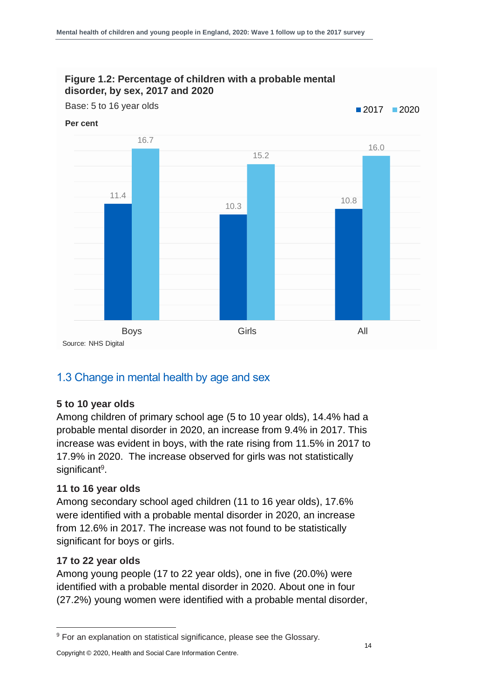

#### <span id="page-13-0"></span>1.3 Change in mental health by age and sex

#### **5 to 10 year olds**

Among children of primary school age (5 to 10 year olds), 14.4% had a probable mental disorder in 2020, an increase from 9.4% in 2017. This increase was evident in boys, with the rate rising from 11.5% in 2017 to 17.9% in 2020. The increase observed for girls was not statistically significant<sup>9</sup>.

#### **11 to 16 year olds**

Among secondary school aged children (11 to 16 year olds), 17.6% were identified with a probable mental disorder in 2020, an increase from 12.6% in 2017. The increase was not found to be statistically significant for boys or girls.

#### **17 to 22 year olds**

Among young people (17 to 22 year olds), one in five (20.0%) were identified with a probable mental disorder in 2020. About one in four (27.2%) young women were identified with a probable mental disorder,

Copyright © 2020, Health and Social Care Information Centre.

<sup>&</sup>lt;sup>9</sup> For an explanation on statistical significance, please see the Glossary.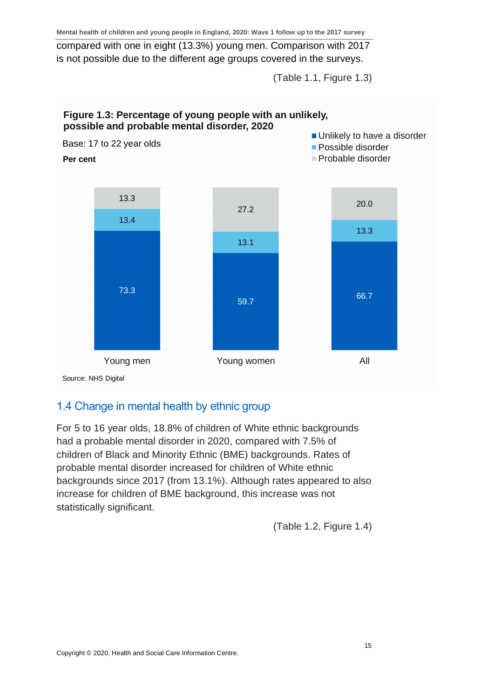compared with one in eight (13.3%) young men. Comparison with 2017 is not possible due to the different age groups covered in the surveys.

(Table 1.1, Figure 1.3)



Source: NHS Digital

#### <span id="page-14-0"></span>1.4 Change in mental health by ethnic group

For 5 to 16 year olds, 18.8% of children of White ethnic backgrounds had a probable mental disorder in 2020, compared with 7.5% of children of Black and Minority Ethnic (BME) backgrounds. Rates of probable mental disorder increased for children of White ethnic backgrounds since 2017 (from 13.1%). Although rates appeared to also increase for children of BME background, this increase was not statistically significant.

(Table 1.2, Figure 1.4)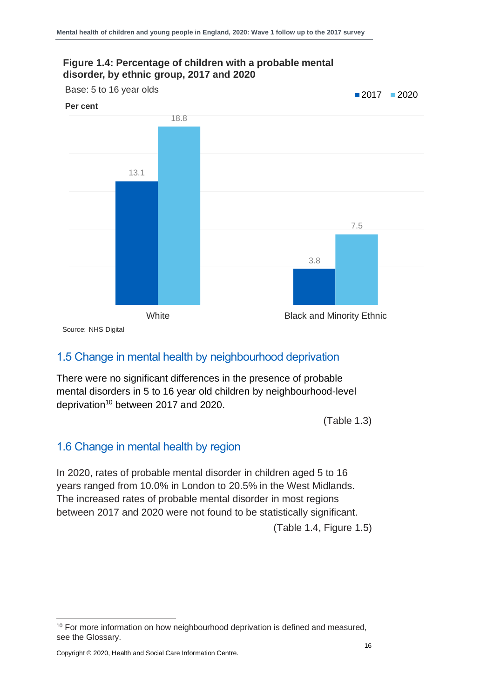#### **Figure 1.4: Percentage of children with a probable mental disorder, by ethnic group, 2017 and 2020**



Source: NHS Digital

#### <span id="page-15-0"></span>1.5 Change in mental health by neighbourhood deprivation

There were no significant differences in the presence of probable mental disorders in 5 to 16 year old children by neighbourhood-level deprivation<sup>10</sup> between 2017 and 2020.

(Table 1.3)

#### <span id="page-15-1"></span>1.6 Change in mental health by region

In 2020, rates of probable mental disorder in children aged 5 to 16 years ranged from 10.0% in London to 20.5% in the West Midlands. The increased rates of probable mental disorder in most regions between 2017 and 2020 were not found to be statistically significant.

(Table 1.4, Figure 1.5)

<sup>&</sup>lt;sup>10</sup> For more information on how neighbourhood deprivation is defined and measured, see the Glossary.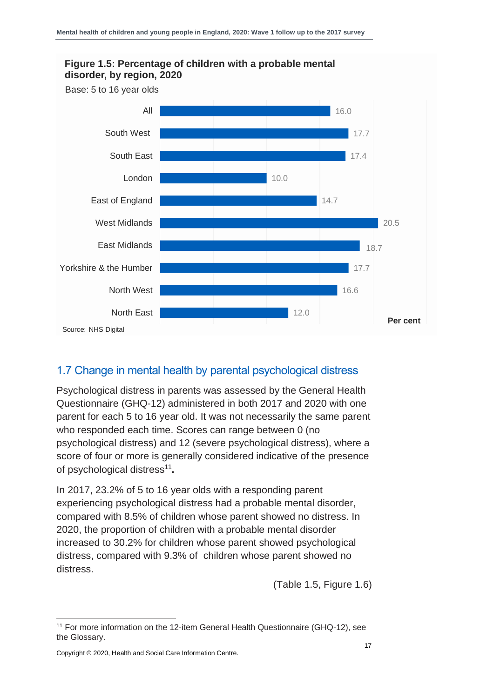

#### <span id="page-16-0"></span>1.7 Change in mental health by parental psychological distress

Psychological distress in parents was assessed by the General Health Questionnaire (GHQ-12) administered in both 2017 and 2020 with one parent for each 5 to 16 year old. It was not necessarily the same parent who responded each time. Scores can range between 0 (no psychological distress) and 12 (severe psychological distress), where a score of four or more is generally considered indicative of the presence of psychological distress<sup>11</sup>.

In 2017, 23.2% of 5 to 16 year olds with a responding parent experiencing psychological distress had a probable mental disorder, compared with 8.5% of children whose parent showed no distress. In 2020, the proportion of children with a probable mental disorder increased to 30.2% for children whose parent showed psychological distress, compared with 9.3% of children whose parent showed no distress.

(Table 1.5, Figure 1.6)

<sup>&</sup>lt;sup>11</sup> For more information on the 12-item General Health Questionnaire (GHQ-12), see the Glossary.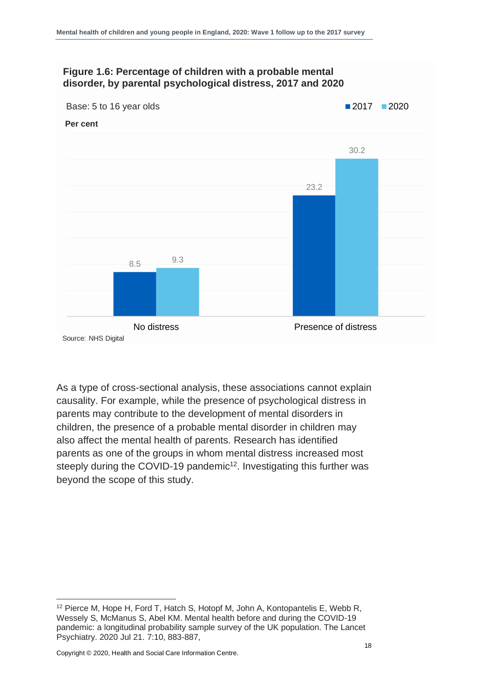#### **Figure 1.6: Percentage of children with a probable mental disorder, by parental psychological distress, 2017 and 2020**



As a type of cross-sectional analysis, these associations cannot explain causality. For example, while the presence of psychological distress in parents may contribute to the development of mental disorders in children, the presence of a probable mental disorder in children may also affect the mental health of parents. Research has identified parents as one of the groups in whom mental distress increased most steeply during the COVID-19 pandemic<sup>12</sup>. Investigating this further was beyond the scope of this study.

<sup>&</sup>lt;sup>12</sup> Pierce M, Hope H, Ford T, Hatch S, Hotopf M, John A, Kontopantelis E, Webb R, Wessely S, McManus S, Abel KM. Mental health before and during the COVID-19 pandemic: a longitudinal probability sample survey of the UK population. The Lancet Psychiatry. 2020 Jul 21. 7:10, 883-887,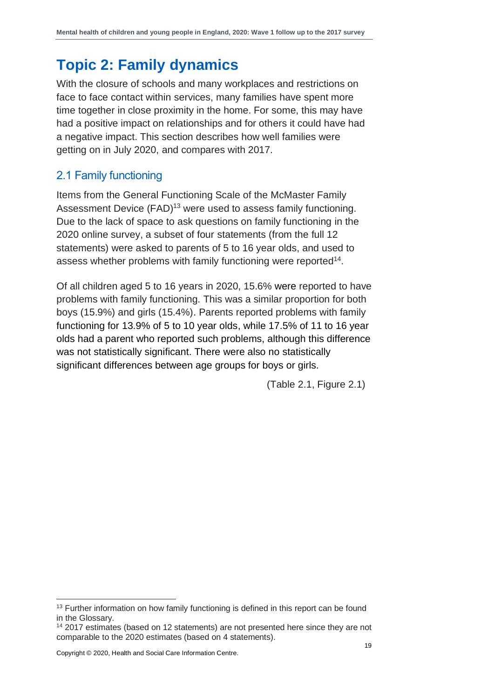### <span id="page-18-0"></span>**Topic 2: Family dynamics**

With the closure of schools and many workplaces and restrictions on face to face contact within services, many families have spent more time together in close proximity in the home. For some, this may have had a positive impact on relationships and for others it could have had a negative impact. This section describes how well families were getting on in July 2020, and compares with 2017.

#### <span id="page-18-1"></span>2.1 Family functioning

Items from the General Functioning Scale of the McMaster Family Assessment Device (FAD)<sup>13</sup> were used to assess family functioning. Due to the lack of space to ask questions on family functioning in the 2020 online survey, a subset of four statements (from the full 12 statements) were asked to parents of 5 to 16 year olds, and used to assess whether problems with family functioning were reported<sup>14</sup>.

Of all children aged 5 to 16 years in 2020, 15.6% were reported to have problems with family functioning. This was a similar proportion for both boys (15.9%) and girls (15.4%). Parents reported problems with family functioning for 13.9% of 5 to 10 year olds, while 17.5% of 11 to 16 year olds had a parent who reported such problems, although this difference was not statistically significant. There were also no statistically significant differences between age groups for boys or girls.

(Table 2.1, Figure 2.1)

<sup>&</sup>lt;sup>13</sup> Further information on how family functioning is defined in this report can be found in the Glossary.

<sup>&</sup>lt;sup>14</sup> 2017 estimates (based on 12 statements) are not presented here since they are not comparable to the 2020 estimates (based on 4 statements).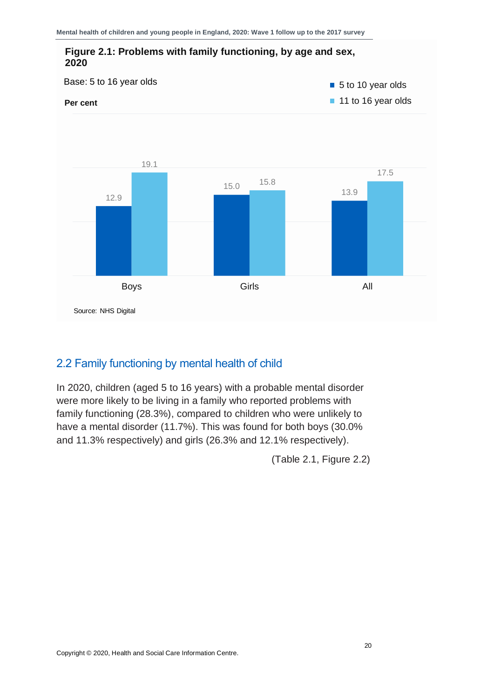

#### <span id="page-19-0"></span>2.2 Family functioning by mental health of child

In 2020, children (aged 5 to 16 years) with a probable mental disorder were more likely to be living in a family who reported problems with family functioning (28.3%), compared to children who were unlikely to have a mental disorder (11.7%). This was found for both boys (30.0% and 11.3% respectively) and girls (26.3% and 12.1% respectively).

(Table 2.1, Figure 2.2)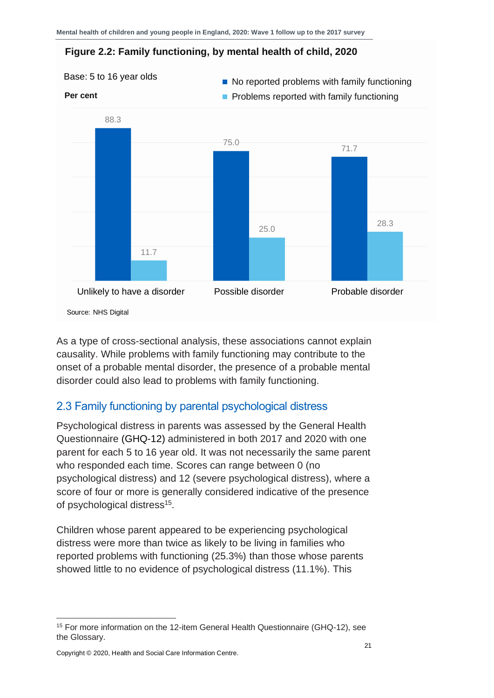#### **Figure 2.2: Family functioning, by mental health of child, 2020**



As a type of cross-sectional analysis, these associations cannot explain causality. While problems with family functioning may contribute to the onset of a probable mental disorder, the presence of a probable mental disorder could also lead to problems with family functioning.

#### <span id="page-20-0"></span>2.3 Family functioning by parental psychological distress

Psychological distress in parents was assessed by the General Health Questionnaire (GHQ-12) administered in both 2017 and 2020 with one parent for each 5 to 16 year old. It was not necessarily the same parent who responded each time. Scores can range between 0 (no psychological distress) and 12 (severe psychological distress), where a score of four or more is generally considered indicative of the presence of psychological distress<sup>15</sup>.

Children whose parent appeared to be experiencing psychological distress were more than twice as likely to be living in families who reported problems with functioning (25.3%) than those whose parents showed little to no evidence of psychological distress (11.1%). This

<sup>&</sup>lt;sup>15</sup> For more information on the 12-item General Health Questionnaire (GHQ-12), see the Glossary.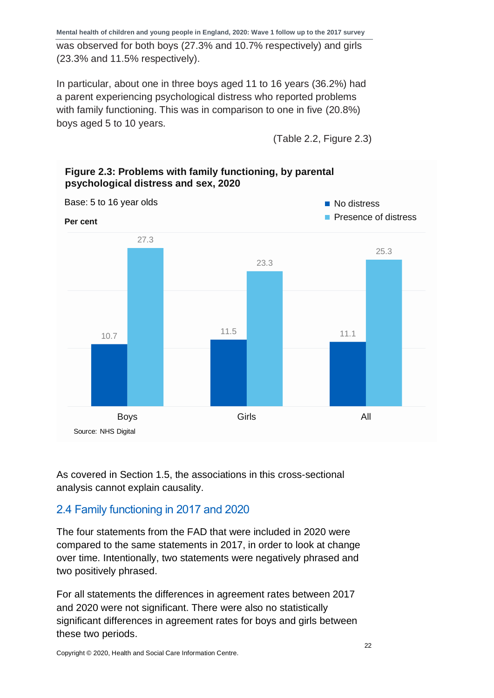was observed for both boys (27.3% and 10.7% respectively) and girls (23.3% and 11.5% respectively).

In particular, about one in three boys aged 11 to 16 years (36.2%) had a parent experiencing psychological distress who reported problems with family functioning. This was in comparison to one in five (20.8%) boys aged 5 to 10 years.

(Table 2.2, Figure 2.3)



#### **Figure 2.3: Problems with family functioning, by parental psychological distress and sex, 2020**

As covered in Section 1.5, the associations in this cross-sectional analysis cannot explain causality.

#### <span id="page-21-0"></span>2.4 Family functioning in 2017 and 2020

The four statements from the FAD that were included in 2020 were compared to the same statements in 2017, in order to look at change over time. Intentionally, two statements were negatively phrased and two positively phrased.

For all statements the differences in agreement rates between 2017 and 2020 were not significant. There were also no statistically significant differences in agreement rates for boys and girls between these two periods.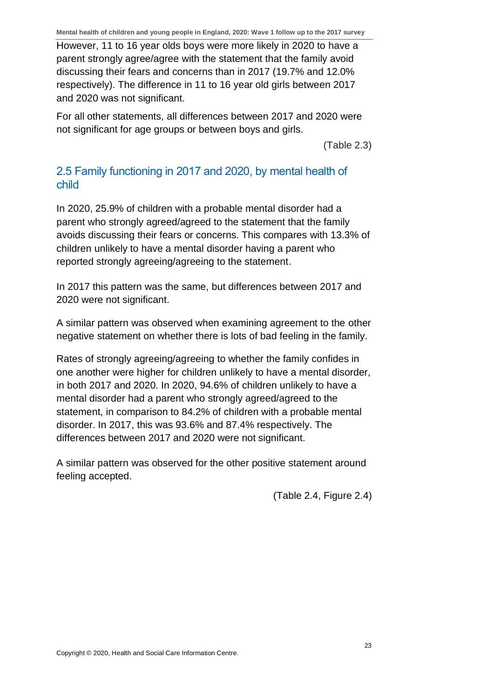However, 11 to 16 year olds boys were more likely in 2020 to have a parent strongly agree/agree with the statement that the family avoid discussing their fears and concerns than in 2017 (19.7% and 12.0% respectively). The difference in 11 to 16 year old girls between 2017 and 2020 was not significant.

For all other statements, all differences between 2017 and 2020 were not significant for age groups or between boys and girls.

(Table 2.3)

#### <span id="page-22-0"></span>2.5 Family functioning in 2017 and 2020, by mental health of child

In 2020, 25.9% of children with a probable mental disorder had a parent who strongly agreed/agreed to the statement that the family avoids discussing their fears or concerns. This compares with 13.3% of children unlikely to have a mental disorder having a parent who reported strongly agreeing/agreeing to the statement.

In 2017 this pattern was the same, but differences between 2017 and 2020 were not significant.

A similar pattern was observed when examining agreement to the other negative statement on whether there is lots of bad feeling in the family.

Rates of strongly agreeing/agreeing to whether the family confides in one another were higher for children unlikely to have a mental disorder, in both 2017 and 2020. In 2020, 94.6% of children unlikely to have a mental disorder had a parent who strongly agreed/agreed to the statement, in comparison to 84.2% of children with a probable mental disorder. In 2017, this was 93.6% and 87.4% respectively. The differences between 2017 and 2020 were not significant.

A similar pattern was observed for the other positive statement around feeling accepted.

(Table 2.4, Figure 2.4)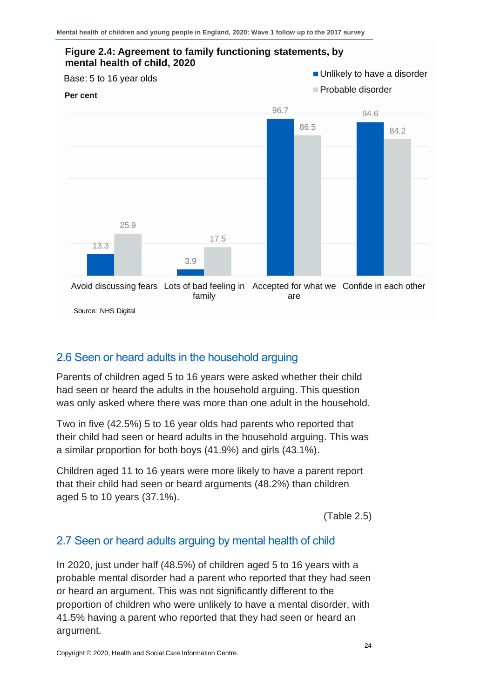

#### <span id="page-23-0"></span>2.6 Seen or heard adults in the household arguing

Parents of children aged 5 to 16 years were asked whether their child had seen or heard the adults in the household arguing. This question was only asked where there was more than one adult in the household.

Two in five (42.5%) 5 to 16 year olds had parents who reported that their child had seen or heard adults in the household arguing. This was a similar proportion for both boys (41.9%) and girls (43.1%).

Children aged 11 to 16 years were more likely to have a parent report that their child had seen or heard arguments (48.2%) than children aged 5 to 10 years (37.1%).

(Table 2.5)

#### <span id="page-23-1"></span>2.7 Seen or heard adults arguing by mental health of child

In 2020, just under half (48.5%) of children aged 5 to 16 years with a probable mental disorder had a parent who reported that they had seen or heard an argument. This was not significantly different to the proportion of children who were unlikely to have a mental disorder, with 41.5% having a parent who reported that they had seen or heard an argument.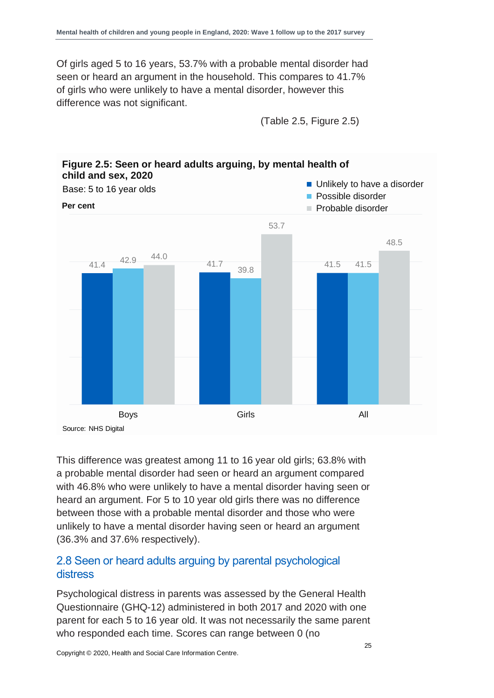Of girls aged 5 to 16 years, 53.7% with a probable mental disorder had seen or heard an argument in the household. This compares to 41.7% of girls who were unlikely to have a mental disorder, however this difference was not significant.

(Table 2.5, Figure 2.5)



# **Figure 2.5: Seen or heard adults arguing, by mental health of**

This difference was greatest among 11 to 16 year old girls; 63.8% with a probable mental disorder had seen or heard an argument compared with 46.8% who were unlikely to have a mental disorder having seen or heard an argument. For 5 to 10 year old girls there was no difference between those with a probable mental disorder and those who were unlikely to have a mental disorder having seen or heard an argument (36.3% and 37.6% respectively).

#### <span id="page-24-0"></span>2.8 Seen or heard adults arguing by parental psychological distress

Psychological distress in parents was assessed by the General Health Questionnaire (GHQ-12) administered in both 2017 and 2020 with one parent for each 5 to 16 year old. It was not necessarily the same parent who responded each time. Scores can range between 0 (no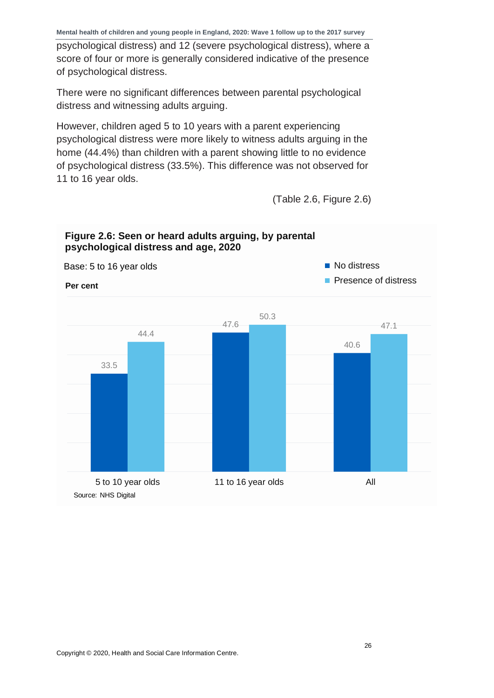psychological distress) and 12 (severe psychological distress), where a score of four or more is generally considered indicative of the presence of psychological distress.

There were no significant differences between parental psychological distress and witnessing adults arguing.

However, children aged 5 to 10 years with a parent experiencing psychological distress were more likely to witness adults arguing in the home (44.4%) than children with a parent showing little to no evidence of psychological distress (33.5%). This difference was not observed for 11 to 16 year olds.

(Table 2.6, Figure 2.6)

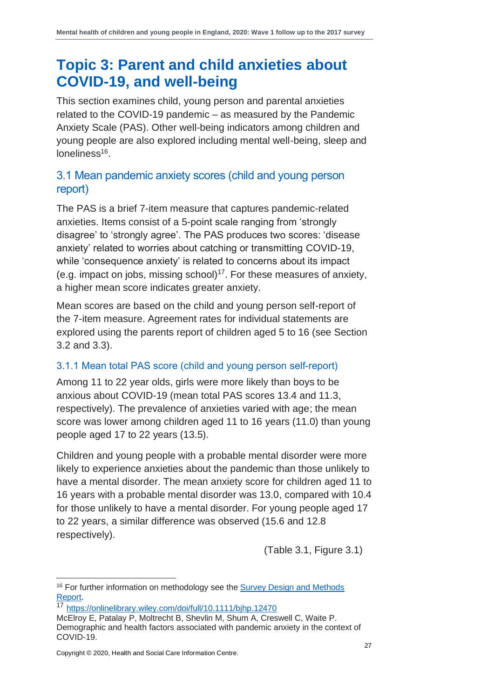### <span id="page-26-0"></span>**Topic 3: Parent and child anxieties about COVID-19, and well-being**

This section examines child, young person and parental anxieties related to the COVID-19 pandemic – as measured by the Pandemic Anxiety Scale (PAS). Other well-being indicators among children and young people are also explored including mental well-being, sleep and loneliness<sup>16</sup>.

#### <span id="page-26-1"></span>3.1 Mean pandemic anxiety scores (child and young person report)

The PAS is a brief 7-item measure that captures pandemic-related anxieties. Items consist of a 5-point scale ranging from 'strongly disagree' to 'strongly agree'. The PAS produces two scores: 'disease anxiety' related to worries about catching or transmitting COVID-19, while 'consequence anxiety' is related to concerns about its impact (e.g. impact on jobs, missing school) $17$ . For these measures of anxiety, a higher mean score indicates greater anxiety.

Mean scores are based on the child and young person self-report of the 7-item measure. Agreement rates for individual statements are explored using the parents report of children aged 5 to 16 (see Section 3.2 and 3.3).

#### 3.1.1 Mean total PAS score (child and young person self-report)

Among 11 to 22 year olds, girls were more likely than boys to be anxious about COVID-19 (mean total PAS scores 13.4 and 11.3, respectively). The prevalence of anxieties varied with age; the mean score was lower among children aged 11 to 16 years (11.0) than young people aged 17 to 22 years (13.5).

Children and young people with a probable mental disorder were more likely to experience anxieties about the pandemic than those unlikely to have a mental disorder. The mean anxiety score for children aged 11 to 16 years with a probable mental disorder was 13.0, compared with 10.4 for those unlikely to have a mental disorder. For young people aged 17 to 22 years, a similar difference was observed (15.6 and 12.8 respectively).

(Table 3.1, Figure 3.1)

<sup>17</sup> <https://onlinelibrary.wiley.com/doi/full/10.1111/bjhp.12470>

<sup>&</sup>lt;sup>16</sup> For further information on methodology see the Survey Design and Methods [Report.](http://digital.nhs.uk/pubs/mhcypsurvey2020w1)

McElroy E, Patalay P, Moltrecht B, Shevlin M, Shum A, Creswell C, Waite P. Demographic and health factors associated with pandemic anxiety in the context of COVID-19.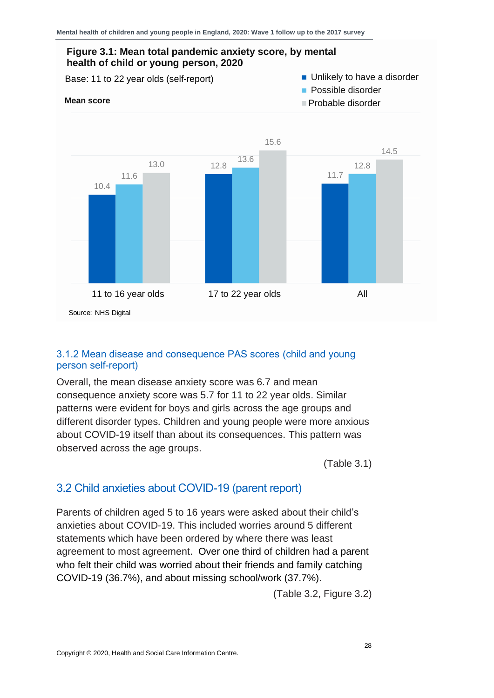

#### 3.1.2 Mean disease and consequence PAS scores (child and young person self-report)

Overall, the mean disease anxiety score was 6.7 and mean consequence anxiety score was 5.7 for 11 to 22 year olds. Similar patterns were evident for boys and girls across the age groups and different disorder types. Children and young people were more anxious about COVID-19 itself than about its consequences. This pattern was observed across the age groups.

(Table 3.1)

#### <span id="page-27-0"></span>3.2 Child anxieties about COVID-19 (parent report)

Parents of children aged 5 to 16 years were asked about their child's anxieties about COVID-19. This included worries around 5 different statements which have been ordered by where there was least agreement to most agreement. Over one third of children had a parent who felt their child was worried about their friends and family catching COVID-19 (36.7%), and about missing school/work (37.7%).

(Table 3.2, Figure 3.2)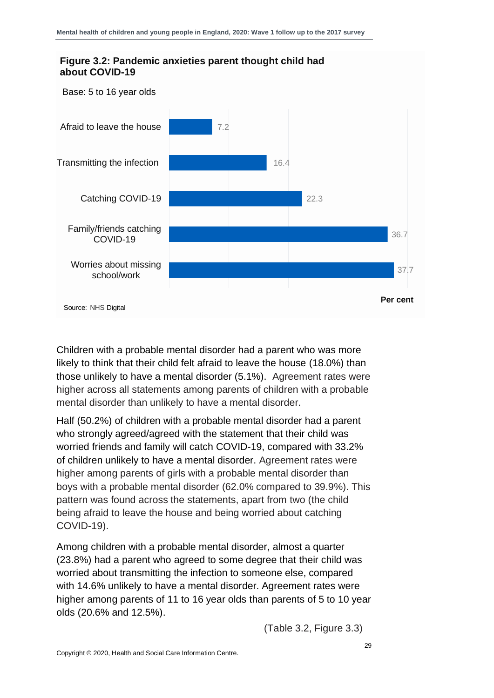

Children with a probable mental disorder had a parent who was more likely to think that their child felt afraid to leave the house (18.0%) than those unlikely to have a mental disorder (5.1%). Agreement rates were higher across all statements among parents of children with a probable mental disorder than unlikely to have a mental disorder.

Half (50.2%) of children with a probable mental disorder had a parent who strongly agreed/agreed with the statement that their child was worried friends and family will catch COVID-19, compared with 33.2% of children unlikely to have a mental disorder. Agreement rates were higher among parents of girls with a probable mental disorder than boys with a probable mental disorder (62.0% compared to 39.9%). This pattern was found across the statements, apart from two (the child being afraid to leave the house and being worried about catching COVID-19).

Among children with a probable mental disorder, almost a quarter (23.8%) had a parent who agreed to some degree that their child was worried about transmitting the infection to someone else, compared with 14.6% unlikely to have a mental disorder. Agreement rates were higher among parents of 11 to 16 year olds than parents of 5 to 10 year olds (20.6% and 12.5%).

(Table 3.2, Figure 3.3)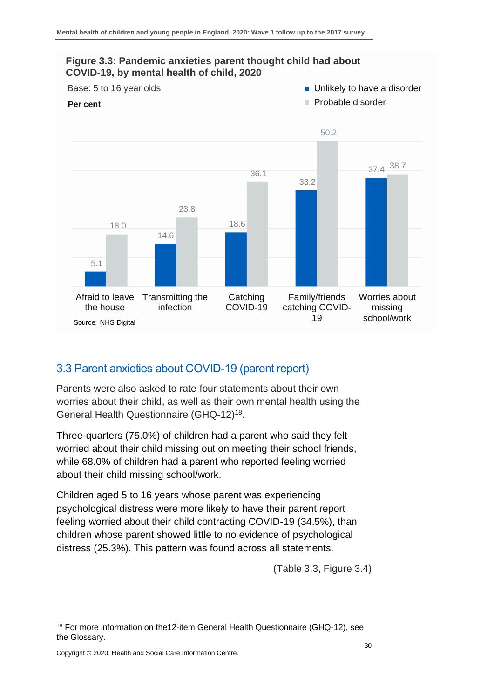

#### <span id="page-29-0"></span>3.3 Parent anxieties about COVID-19 (parent report)

Parents were also asked to rate four statements about their own worries about their child, as well as their own mental health using the General Health Questionnaire (GHQ-12)<sup>18</sup>.

Three-quarters (75.0%) of children had a parent who said they felt worried about their child missing out on meeting their school friends, while 68.0% of children had a parent who reported feeling worried about their child missing school/work.

Children aged 5 to 16 years whose parent was experiencing psychological distress were more likely to have their parent report feeling worried about their child contracting COVID-19 (34.5%), than children whose parent showed little to no evidence of psychological distress (25.3%). This pattern was found across all statements.

(Table 3.3, Figure 3.4)

<sup>&</sup>lt;sup>18</sup> For more information on the12-item General Health Questionnaire (GHQ-12), see the Glossary.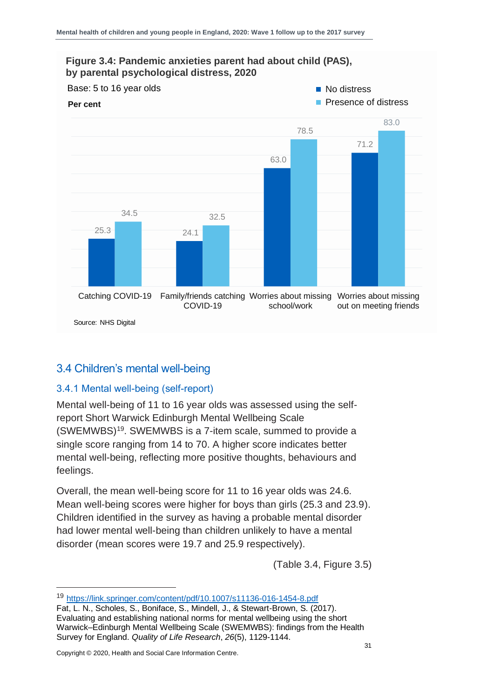

#### <span id="page-30-0"></span>3.4 Children's mental well-being

#### 3.4.1 Mental well-being (self-report)

Mental well-being of 11 to 16 year olds was assessed using the selfreport Short Warwick Edinburgh Mental Wellbeing Scale (SWEMWBS)<sup>19</sup> . SWEMWBS is a 7-item scale, summed to provide a single score ranging from 14 to 70. A higher score indicates better mental well-being, reflecting more positive thoughts, behaviours and feelings.

Overall, the mean well-being score for 11 to 16 year olds was 24.6. Mean well-being scores were higher for boys than girls (25.3 and 23.9). Children identified in the survey as having a probable mental disorder had lower mental well-being than children unlikely to have a mental disorder (mean scores were 19.7 and 25.9 respectively).

(Table 3.4, Figure 3.5)

<sup>19</sup> <https://link.springer.com/content/pdf/10.1007/s11136-016-1454-8.pdf>

Fat, L. N., Scholes, S., Boniface, S., Mindell, J., & Stewart-Brown, S. (2017). Evaluating and establishing national norms for mental wellbeing using the short Warwick–Edinburgh Mental Wellbeing Scale (SWEMWBS): findings from the Health Survey for England. *Quality of Life Research*, *26*(5), 1129-1144.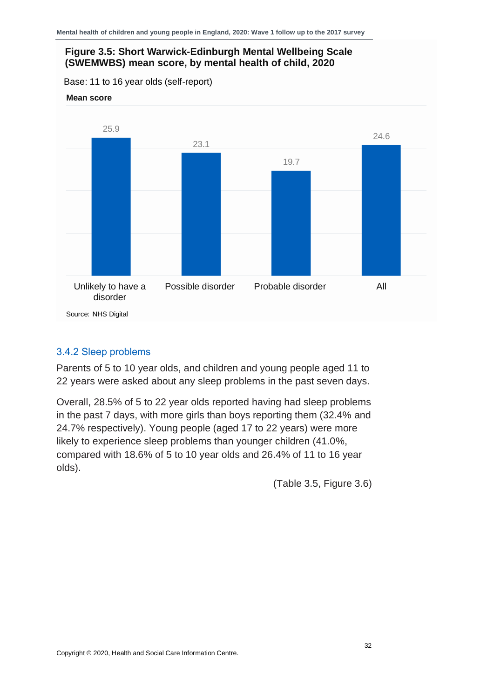#### **Figure 3.5: Short Warwick-Edinburgh Mental Wellbeing Scale (SWEMWBS) mean score, by mental health of child, 2020**

Base: 11 to 16 year olds (self-report)





#### 3.4.2 Sleep problems

Parents of 5 to 10 year olds, and children and young people aged 11 to 22 years were asked about any sleep problems in the past seven days.

Overall, 28.5% of 5 to 22 year olds reported having had sleep problems in the past 7 days, with more girls than boys reporting them (32.4% and 24.7% respectively). Young people (aged 17 to 22 years) were more likely to experience sleep problems than younger children (41.0%, compared with 18.6% of 5 to 10 year olds and 26.4% of 11 to 16 year olds).

(Table 3.5, Figure 3.6)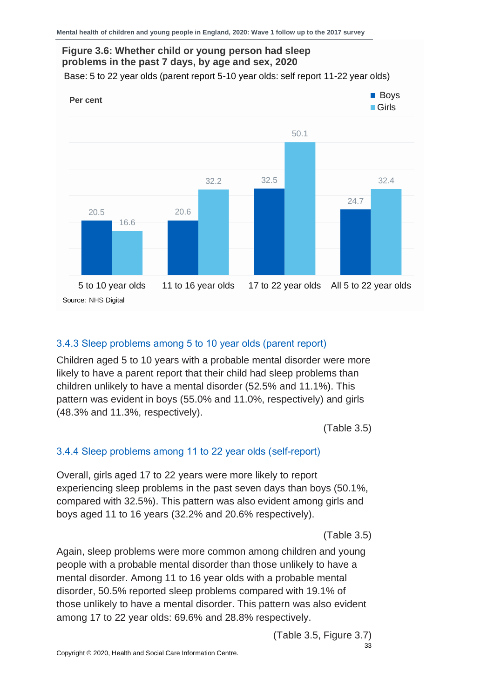

#### 3.4.3 Sleep problems among 5 to 10 year olds (parent report)

Children aged 5 to 10 years with a probable mental disorder were more likely to have a parent report that their child had sleep problems than children unlikely to have a mental disorder (52.5% and 11.1%). This pattern was evident in boys (55.0% and 11.0%, respectively) and girls (48.3% and 11.3%, respectively).

(Table 3.5)

#### 3.4.4 Sleep problems among 11 to 22 year olds (self-report)

Overall, girls aged 17 to 22 years were more likely to report experiencing sleep problems in the past seven days than boys (50.1%, compared with 32.5%). This pattern was also evident among girls and boys aged 11 to 16 years (32.2% and 20.6% respectively).

(Table 3.5)

Again, sleep problems were more common among children and young people with a probable mental disorder than those unlikely to have a mental disorder. Among 11 to 16 year olds with a probable mental disorder, 50.5% reported sleep problems compared with 19.1% of those unlikely to have a mental disorder. This pattern was also evident among 17 to 22 year olds: 69.6% and 28.8% respectively.

> 33 (Table 3.5, Figure 3.7)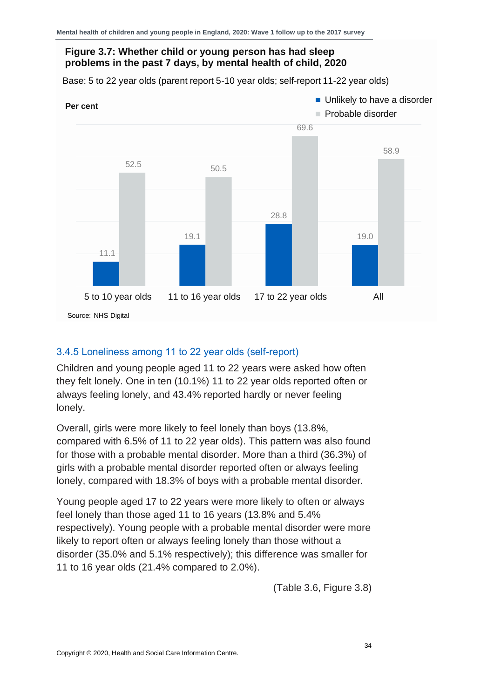#### **Figure 3.7: Whether child or young person has had sleep problems in the past 7 days, by mental health of child, 2020**

Base: 5 to 22 year olds (parent report 5-10 year olds; self-report 11-22 year olds)



#### 3.4.5 Loneliness among 11 to 22 year olds (self-report)

Children and young people aged 11 to 22 years were asked how often they felt lonely. One in ten (10.1%) 11 to 22 year olds reported often or always feeling lonely, and 43.4% reported hardly or never feeling lonely.

Overall, girls were more likely to feel lonely than boys (13.8%, compared with 6.5% of 11 to 22 year olds). This pattern was also found for those with a probable mental disorder. More than a third (36.3%) of girls with a probable mental disorder reported often or always feeling lonely, compared with 18.3% of boys with a probable mental disorder.

Young people aged 17 to 22 years were more likely to often or always feel lonely than those aged 11 to 16 years (13.8% and 5.4% respectively). Young people with a probable mental disorder were more likely to report often or always feeling lonely than those without a disorder (35.0% and 5.1% respectively); this difference was smaller for 11 to 16 year olds (21.4% compared to 2.0%).

(Table 3.6, Figure 3.8)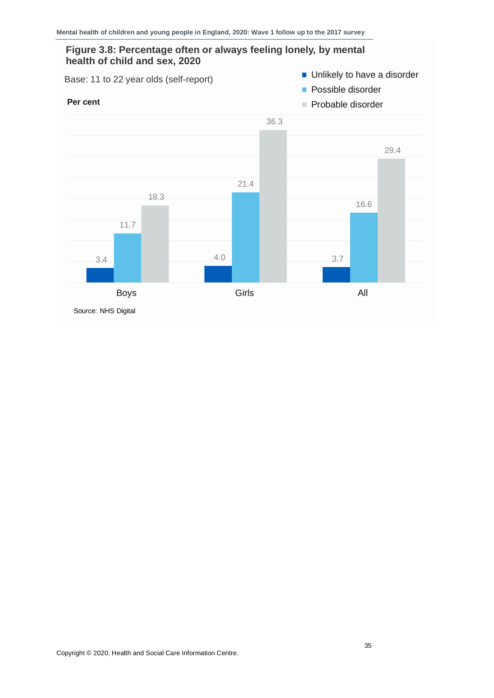#### **Figure 3.8: Percentage often or always feeling lonely, by mental health of child and sex, 2020**

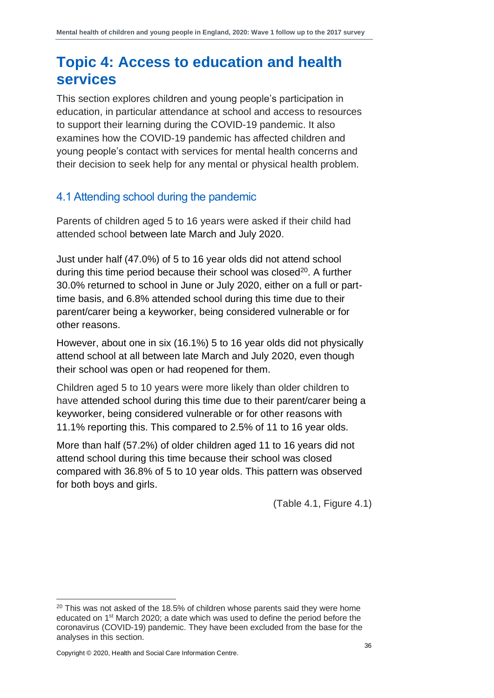### <span id="page-35-0"></span>**Topic 4: Access to education and health services**

This section explores children and young people's participation in education, in particular attendance at school and access to resources to support their learning during the COVID-19 pandemic. It also examines how the COVID-19 pandemic has affected children and young people's contact with services for mental health concerns and their decision to seek help for any mental or physical health problem.

#### <span id="page-35-1"></span>4.1 Attending school during the pandemic

Parents of children aged 5 to 16 years were asked if their child had attended school between late March and July 2020.

Just under half (47.0%) of 5 to 16 year olds did not attend school during this time period because their school was closed<sup>20</sup>. A further 30.0% returned to school in June or July 2020, either on a full or parttime basis, and 6.8% attended school during this time due to their parent/carer being a keyworker, being considered vulnerable or for other reasons.

However, about one in six (16.1%) 5 to 16 year olds did not physically attend school at all between late March and July 2020, even though their school was open or had reopened for them.

Children aged 5 to 10 years were more likely than older children to have attended school during this time due to their parent/carer being a keyworker, being considered vulnerable or for other reasons with 11.1% reporting this. This compared to 2.5% of 11 to 16 year olds.

More than half (57.2%) of older children aged 11 to 16 years did not attend school during this time because their school was closed compared with 36.8% of 5 to 10 year olds. This pattern was observed for both boys and girls.

(Table 4.1, Figure 4.1)

 $20$  This was not asked of the 18.5% of children whose parents said they were home educated on 1<sup>st</sup> March 2020; a date which was used to define the period before the coronavirus (COVID-19) pandemic. They have been excluded from the base for the analyses in this section.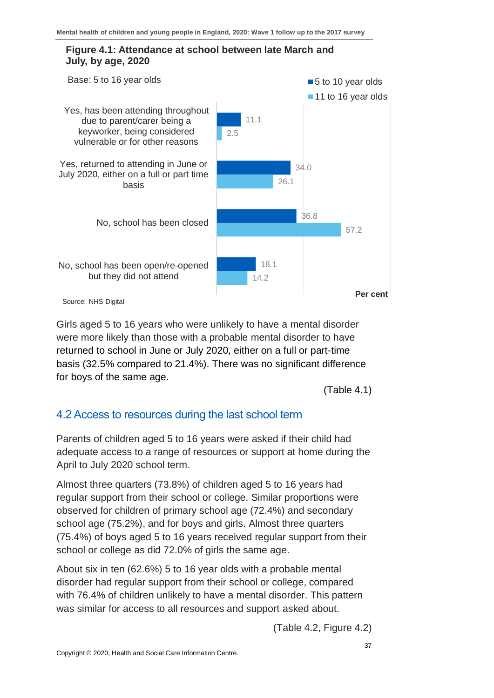#### **Figure 4.1: Attendance at school between late March and July, by age, 2020**



Girls aged 5 to 16 years who were unlikely to have a mental disorder were more likely than those with a probable mental disorder to have returned to school in June or July 2020, either on a full or part-time basis (32.5% compared to 21.4%). There was no significant difference for boys of the same age.

(Table 4.1)

#### <span id="page-36-0"></span>4.2 Access to resources during the last school term

Parents of children aged 5 to 16 years were asked if their child had adequate access to a range of resources or support at home during the April to July 2020 school term.

Almost three quarters (73.8%) of children aged 5 to 16 years had regular support from their school or college. Similar proportions were observed for children of primary school age (72.4%) and secondary school age (75.2%), and for boys and girls. Almost three quarters (75.4%) of boys aged 5 to 16 years received regular support from their school or college as did 72.0% of girls the same age.

About six in ten (62.6%) 5 to 16 year olds with a probable mental disorder had regular support from their school or college, compared with 76.4% of children unlikely to have a mental disorder. This pattern was similar for access to all resources and support asked about.

(Table 4.2, Figure 4.2)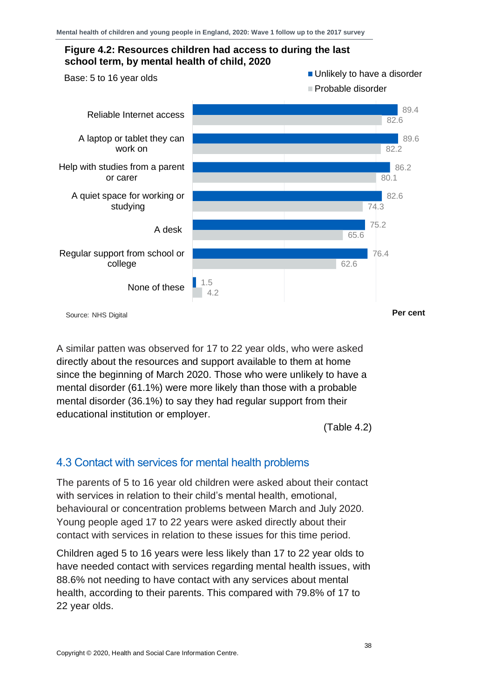

A similar patten was observed for 17 to 22 year olds, who were asked directly about the resources and support available to them at home since the beginning of March 2020. Those who were unlikely to have a mental disorder (61.1%) were more likely than those with a probable mental disorder (36.1%) to say they had regular support from their educational institution or employer.

(Table 4.2)

#### <span id="page-37-0"></span>4.3 Contact with services for mental health problems

The parents of 5 to 16 year old children were asked about their contact with services in relation to their child's mental health, emotional, behavioural or concentration problems between March and July 2020. Young people aged 17 to 22 years were asked directly about their contact with services in relation to these issues for this time period.

Children aged 5 to 16 years were less likely than 17 to 22 year olds to have needed contact with services regarding mental health issues, with 88.6% not needing to have contact with any services about mental health, according to their parents. This compared with 79.8% of 17 to 22 year olds.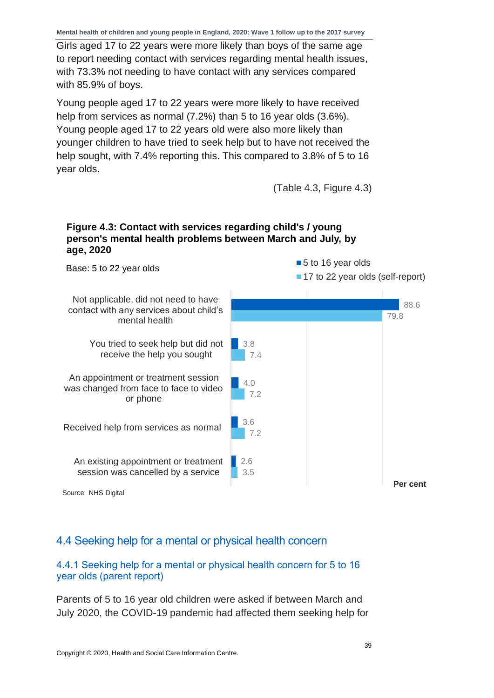Girls aged 17 to 22 years were more likely than boys of the same age to report needing contact with services regarding mental health issues, with 73.3% not needing to have contact with any services compared with 85.9% of boys.

Young people aged 17 to 22 years were more likely to have received help from services as normal (7.2%) than 5 to 16 year olds (3.6%). Young people aged 17 to 22 years old were also more likely than younger children to have tried to seek help but to have not received the help sought, with 7.4% reporting this. This compared to 3.8% of 5 to 16 year olds.

(Table 4.3, Figure 4.3)

#### **Figure 4.3: Contact with services regarding child's / young person's mental health problems between March and July, by age, 2020**

88.6 3.8 4.0 3.6 2.6 79.8 7.4 7.2 7.2 3.5 Not applicable, did not need to have contact with any services about child's mental health You tried to seek help but did not receive the help you sought An appointment or treatment session was changed from face to face to video or phone Received help from services as normal An existing appointment or treatment session was cancelled by a service ■ 5 to 16 year olds ■ 17 to 22 year olds (self-report) Base: 5 to 22 year olds **Per cent** Source: NHS Digital

#### <span id="page-38-0"></span>4.4 Seeking help for a mental or physical health concern

#### 4.4.1 Seeking help for a mental or physical health concern for 5 to 16 year olds (parent report)

Parents of 5 to 16 year old children were asked if between March and July 2020, the COVID-19 pandemic had affected them seeking help for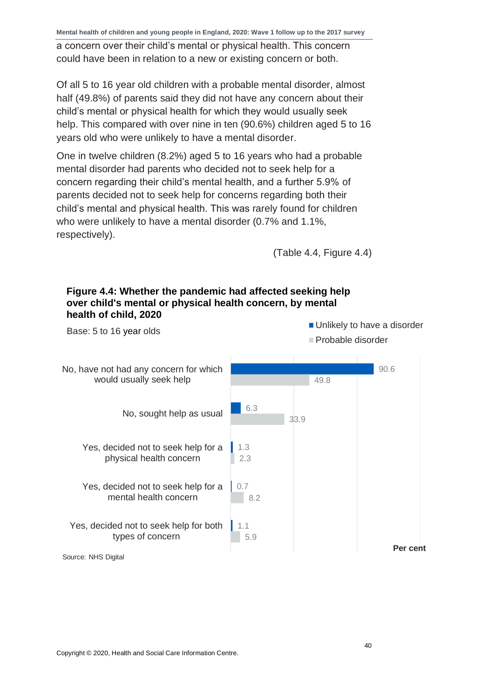**Mental health of children and young people in England, 2020: Wave 1 follow up to the 2017 survey** 

a concern over their child's mental or physical health. This concern could have been in relation to a new or existing concern or both.

Of all 5 to 16 year old children with a probable mental disorder, almost half (49.8%) of parents said they did not have any concern about their child's mental or physical health for which they would usually seek help. This compared with over nine in ten (90.6%) children aged 5 to 16 years old who were unlikely to have a mental disorder.

One in twelve children (8.2%) aged 5 to 16 years who had a probable mental disorder had parents who decided not to seek help for a concern regarding their child's mental health, and a further 5.9% of parents decided not to seek help for concerns regarding both their child's mental and physical health. This was rarely found for children who were unlikely to have a mental disorder (0.7% and 1.1%, respectively).

(Table 4.4, Figure 4.4)



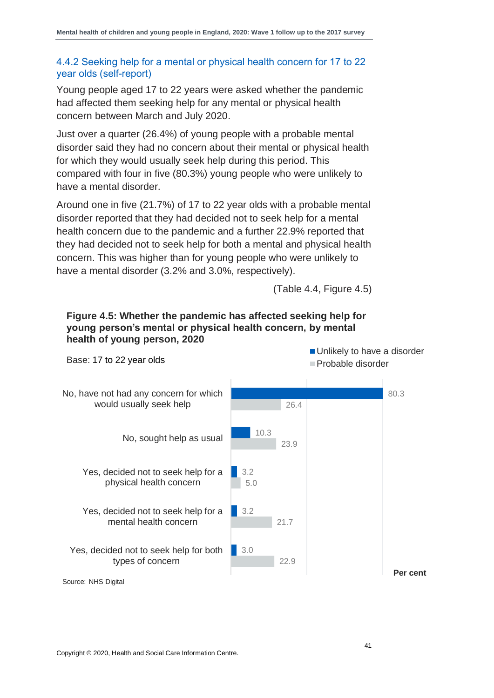#### 4.4.2 Seeking help for a mental or physical health concern for 17 to 22 year olds (self-report)

Young people aged 17 to 22 years were asked whether the pandemic had affected them seeking help for any mental or physical health concern between March and July 2020.

Just over a quarter (26.4%) of young people with a probable mental disorder said they had no concern about their mental or physical health for which they would usually seek help during this period. This compared with four in five (80.3%) young people who were unlikely to have a mental disorder.

Around one in five (21.7%) of 17 to 22 year olds with a probable mental disorder reported that they had decided not to seek help for a mental health concern due to the pandemic and a further 22.9% reported that they had decided not to seek help for both a mental and physical health concern. This was higher than for young people who were unlikely to have a mental disorder (3.2% and 3.0%, respectively).

(Table 4.4, Figure 4.5)



### **Figure 4.5: Whether the pandemic has affected seeking help for young person's mental or physical health concern, by mental**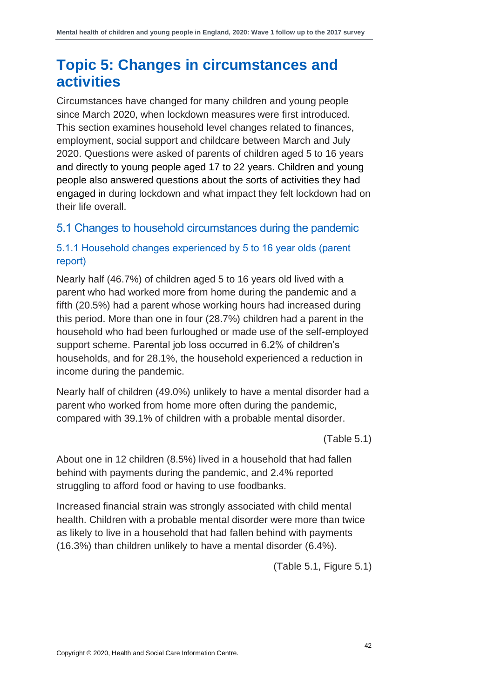### <span id="page-41-0"></span>**Topic 5: Changes in circumstances and activities**

Circumstances have changed for many children and young people since March 2020, when lockdown measures were first introduced. This section examines household level changes related to finances, employment, social support and childcare between March and July 2020. Questions were asked of parents of children aged 5 to 16 years and directly to young people aged 17 to 22 years. Children and young people also answered questions about the sorts of activities they had engaged in during lockdown and what impact they felt lockdown had on their life overall.

#### <span id="page-41-1"></span>5.1 Changes to household circumstances during the pandemic

#### 5.1.1 Household changes experienced by 5 to 16 year olds (parent report)

Nearly half (46.7%) of children aged 5 to 16 years old lived with a parent who had worked more from home during the pandemic and a fifth (20.5%) had a parent whose working hours had increased during this period. More than one in four (28.7%) children had a parent in the household who had been furloughed or made use of the self-employed support scheme. Parental job loss occurred in 6.2% of children's households, and for 28.1%, the household experienced a reduction in income during the pandemic.

Nearly half of children (49.0%) unlikely to have a mental disorder had a parent who worked from home more often during the pandemic, compared with 39.1% of children with a probable mental disorder.

(Table 5.1)

About one in 12 children (8.5%) lived in a household that had fallen behind with payments during the pandemic, and 2.4% reported struggling to afford food or having to use foodbanks.

Increased financial strain was strongly associated with child mental health. Children with a probable mental disorder were more than twice as likely to live in a household that had fallen behind with payments (16.3%) than children unlikely to have a mental disorder (6.4%).

(Table 5.1, Figure 5.1)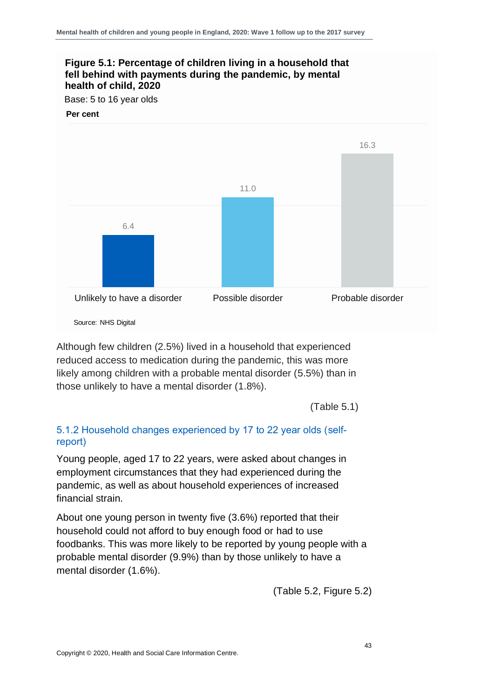

Source: NHS Digital

Although few children (2.5%) lived in a household that experienced reduced access to medication during the pandemic, this was more likely among children with a probable mental disorder (5.5%) than in those unlikely to have a mental disorder (1.8%).

(Table 5.1)

#### 5.1.2 Household changes experienced by 17 to 22 year olds (selfreport)

Young people, aged 17 to 22 years, were asked about changes in employment circumstances that they had experienced during the pandemic, as well as about household experiences of increased financial strain.

About one young person in twenty five (3.6%) reported that their household could not afford to buy enough food or had to use foodbanks. This was more likely to be reported by young people with a probable mental disorder (9.9%) than by those unlikely to have a mental disorder (1.6%).

(Table 5.2, Figure 5.2)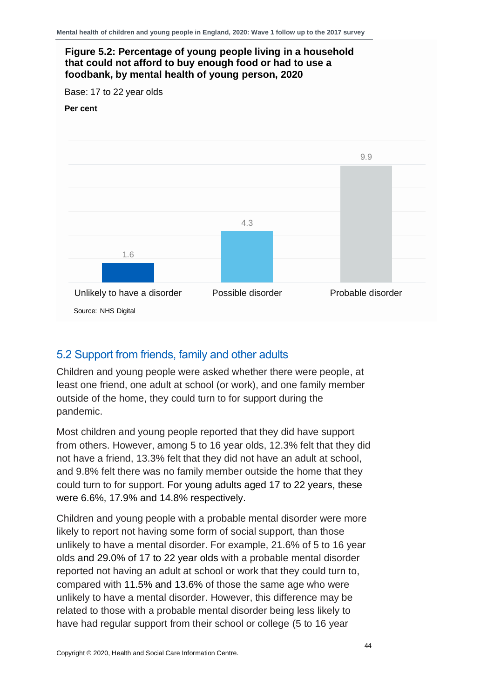#### **Figure 5.2: Percentage of young people living in a household that could not afford to buy enough food or had to use a foodbank, by mental health of young person, 2020**

Base: 17 to 22 year olds

#### **Per cent**



#### <span id="page-43-0"></span>5.2 Support from friends, family and other adults

Children and young people were asked whether there were people, at least one friend, one adult at school (or work), and one family member outside of the home, they could turn to for support during the pandemic.

Most children and young people reported that they did have support from others. However, among 5 to 16 year olds, 12.3% felt that they did not have a friend, 13.3% felt that they did not have an adult at school, and 9.8% felt there was no family member outside the home that they could turn to for support. For young adults aged 17 to 22 years, these were 6.6%, 17.9% and 14.8% respectively.

Children and young people with a probable mental disorder were more likely to report not having some form of social support, than those unlikely to have a mental disorder. For example, 21.6% of 5 to 16 year olds and 29.0% of 17 to 22 year olds with a probable mental disorder reported not having an adult at school or work that they could turn to, compared with 11.5% and 13.6% of those the same age who were unlikely to have a mental disorder. However, this difference may be related to those with a probable mental disorder being less likely to have had regular support from their school or college (5 to 16 year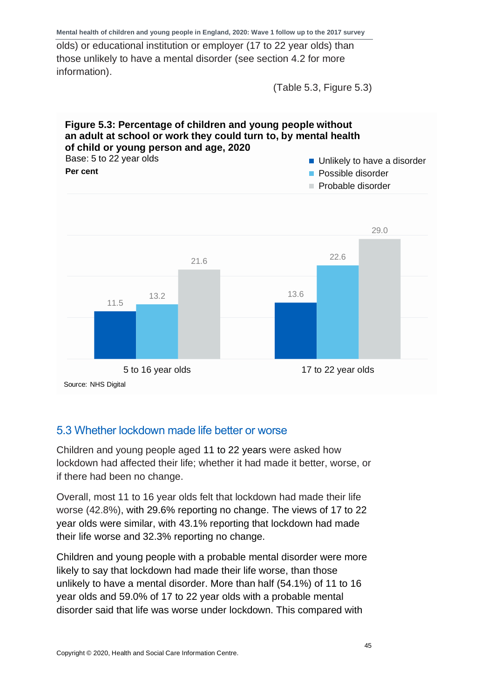olds) or educational institution or employer (17 to 22 year olds) than those unlikely to have a mental disorder (see section 4.2 for more information).

(Table 5.3, Figure 5.3)



#### <span id="page-44-0"></span>5.3 Whether lockdown made life better or worse

Children and young people aged 11 to 22 years were asked how lockdown had affected their life; whether it had made it better, worse, or if there had been no change.

Overall, most 11 to 16 year olds felt that lockdown had made their life worse (42.8%), with 29.6% reporting no change. The views of 17 to 22 year olds were similar, with 43.1% reporting that lockdown had made their life worse and 32.3% reporting no change.

Children and young people with a probable mental disorder were more likely to say that lockdown had made their life worse, than those unlikely to have a mental disorder. More than half (54.1%) of 11 to 16 year olds and 59.0% of 17 to 22 year olds with a probable mental disorder said that life was worse under lockdown. This compared with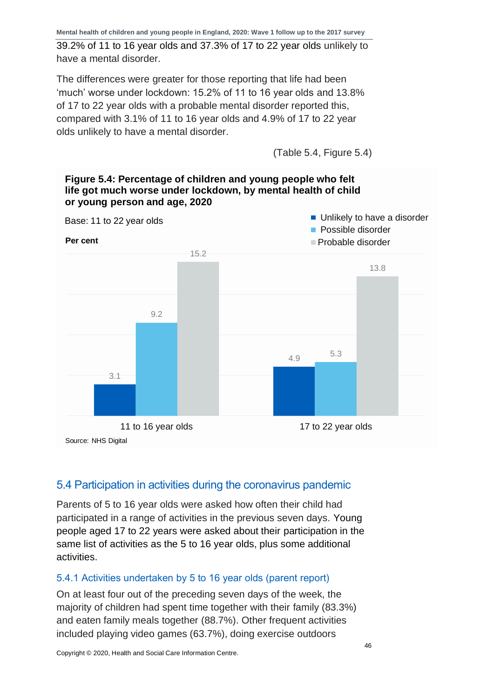39.2% of 11 to 16 year olds and 37.3% of 17 to 22 year olds unlikely to have a mental disorder.

The differences were greater for those reporting that life had been 'much' worse under lockdown: 15.2% of 11 to 16 year olds and 13.8% of 17 to 22 year olds with a probable mental disorder reported this, compared with 3.1% of 11 to 16 year olds and 4.9% of 17 to 22 year olds unlikely to have a mental disorder.

(Table 5.4, Figure 5.4)



#### <span id="page-45-0"></span>5.4 Participation in activities during the coronavirus pandemic

Parents of 5 to 16 year olds were asked how often their child had participated in a range of activities in the previous seven days. Young people aged 17 to 22 years were asked about their participation in the same list of activities as the 5 to 16 year olds, plus some additional activities.

#### 5.4.1 Activities undertaken by 5 to 16 year olds (parent report)

On at least four out of the preceding seven days of the week, the majority of children had spent time together with their family (83.3%) and eaten family meals together (88.7%). Other frequent activities included playing video games (63.7%), doing exercise outdoors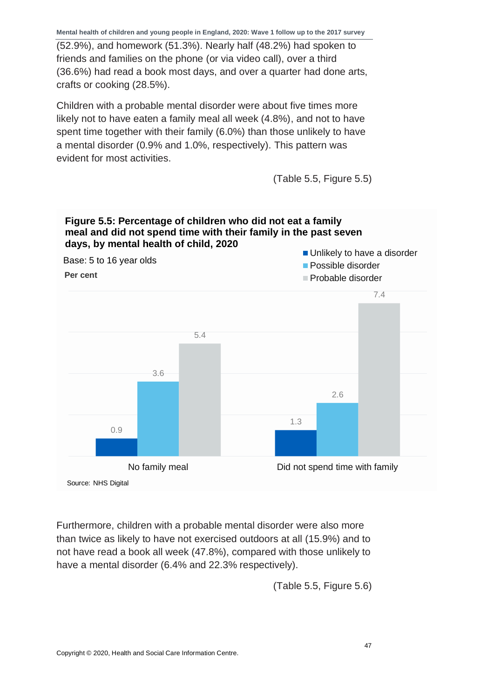(52.9%), and homework (51.3%). Nearly half (48.2%) had spoken to friends and families on the phone (or via video call), over a third (36.6%) had read a book most days, and over a quarter had done arts, crafts or cooking (28.5%).

Children with a probable mental disorder were about five times more likely not to have eaten a family meal all week (4.8%), and not to have spent time together with their family (6.0%) than those unlikely to have a mental disorder (0.9% and 1.0%, respectively). This pattern was evident for most activities.

(Table 5.5, Figure 5.5)





Furthermore, children with a probable mental disorder were also more than twice as likely to have not exercised outdoors at all (15.9%) and to not have read a book all week (47.8%), compared with those unlikely to have a mental disorder (6.4% and 22.3% respectively).

(Table 5.5, Figure 5.6)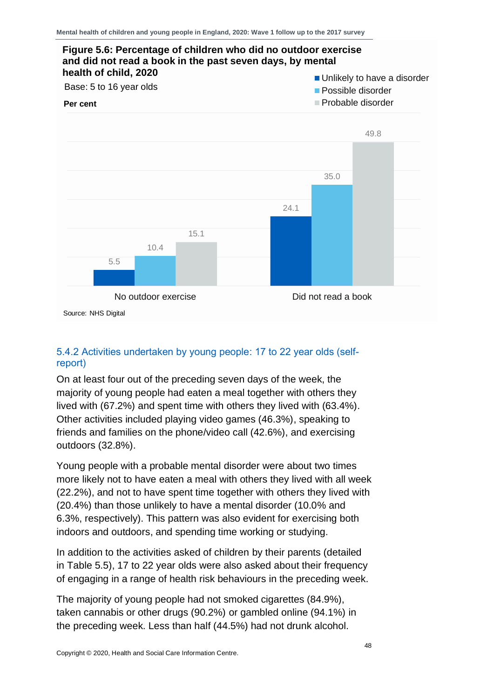

#### 5.4.2 Activities undertaken by young people: 17 to 22 year olds (selfreport)

On at least four out of the preceding seven days of the week, the majority of young people had eaten a meal together with others they lived with (67.2%) and spent time with others they lived with (63.4%). Other activities included playing video games (46.3%), speaking to friends and families on the phone/video call (42.6%), and exercising outdoors (32.8%).

Young people with a probable mental disorder were about two times more likely not to have eaten a meal with others they lived with all week (22.2%), and not to have spent time together with others they lived with (20.4%) than those unlikely to have a mental disorder (10.0% and 6.3%, respectively). This pattern was also evident for exercising both indoors and outdoors, and spending time working or studying.

In addition to the activities asked of children by their parents (detailed in Table 5.5), 17 to 22 year olds were also asked about their frequency of engaging in a range of health risk behaviours in the preceding week.

The majority of young people had not smoked cigarettes (84.9%), taken cannabis or other drugs (90.2%) or gambled online (94.1%) in the preceding week. Less than half (44.5%) had not drunk alcohol.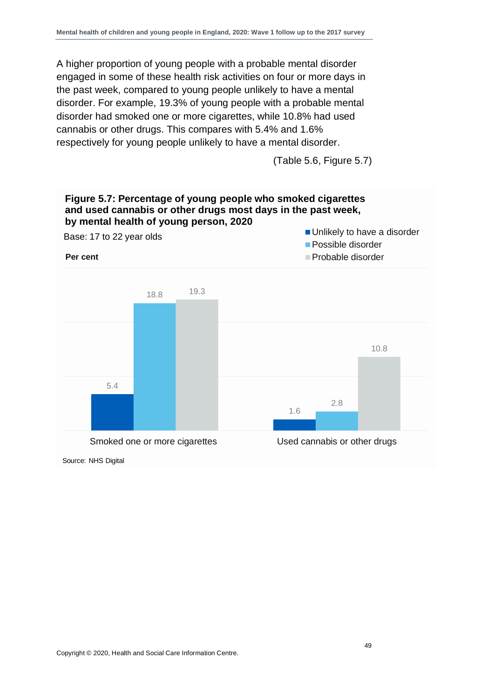A higher proportion of young people with a probable mental disorder engaged in some of these health risk activities on four or more days in the past week, compared to young people unlikely to have a mental disorder. For example, 19.3% of young people with a probable mental disorder had smoked one or more cigarettes, while 10.8% had used cannabis or other drugs. This compares with 5.4% and 1.6% respectively for young people unlikely to have a mental disorder.

(Table 5.6, Figure 5.7)

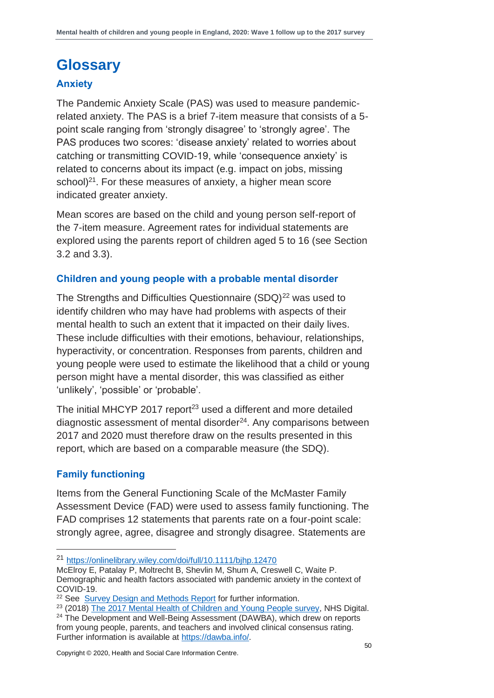### <span id="page-49-0"></span>**Glossary**

#### **Anxiety**

The Pandemic Anxiety Scale (PAS) was used to measure pandemicrelated anxiety. The PAS is a brief 7-item measure that consists of a 5 point scale ranging from 'strongly disagree' to 'strongly agree'. The PAS produces two scores: 'disease anxiety' related to worries about catching or transmitting COVID-19, while 'consequence anxiety' is related to concerns about its impact (e.g. impact on jobs, missing school) $21$ . For these measures of anxiety, a higher mean score indicated greater anxiety.

Mean scores are based on the child and young person self-report of the 7-item measure. Agreement rates for individual statements are explored using the parents report of children aged 5 to 16 (see Section 3.2 and 3.3).

#### **Children and young people with a probable mental disorder**

The Strengths and Difficulties Questionnaire (SDQ)<sup>22</sup> was used to identify children who may have had problems with aspects of their mental health to such an extent that it impacted on their daily lives. These include difficulties with their emotions, behaviour, relationships, hyperactivity, or concentration. Responses from parents, children and young people were used to estimate the likelihood that a child or young person might have a mental disorder, this was classified as either 'unlikely', 'possible' or 'probable'.

The initial MHCYP 2017 report<sup>23</sup> used a different and more detailed diagnostic assessment of mental disorder<sup>24</sup>. Any comparisons between 2017 and 2020 must therefore draw on the results presented in this report, which are based on a comparable measure (the SDQ).

#### **Family functioning**

Items from the General Functioning Scale of the McMaster Family Assessment Device (FAD) were used to assess family functioning. The FAD comprises 12 statements that parents rate on a four-point scale: strongly agree, agree, disagree and strongly disagree. Statements are

<sup>21</sup> <https://onlinelibrary.wiley.com/doi/full/10.1111/bjhp.12470>

McElroy E, Patalay P, Moltrecht B, Shevlin M, Shum A, Creswell C, Waite P. Demographic and health factors associated with pandemic anxiety in the context of COVID-19.

<sup>&</sup>lt;sup>22</sup> See [Survey Design and Methods Report](http://digital.nhs.uk/pubs/mhcypsurvey2020w1) for further information.

<sup>&</sup>lt;sup>23</sup> (2018[\) The 2017 Mental Health of Children and Young People survey,](https://digital.nhs.uk/data-and-information/publications/statistical/mental-health-of-children-and-young-people-in-england/2017/2017) NHS Digital.

<sup>&</sup>lt;sup>24</sup> The Development and Well-Being Assessment (DAWBA), which drew on reports from young people, parents, and teachers and involved clinical consensus rating. Further information is available at [https://dawba.info/.](https://dawba.info/)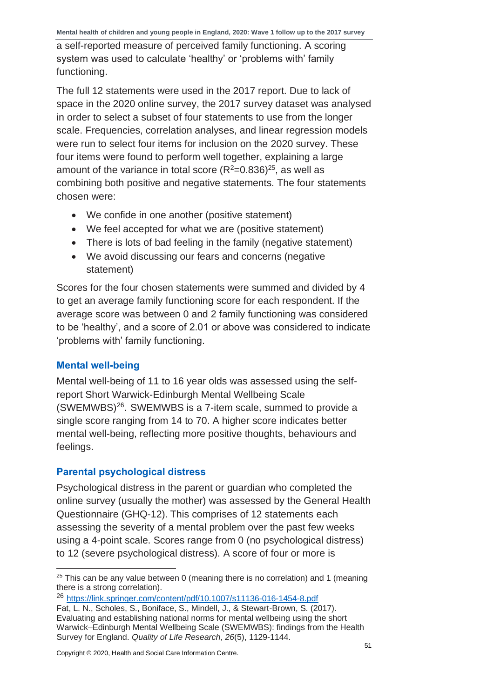a self-reported measure of perceived family functioning. A scoring system was used to calculate 'healthy' or 'problems with' family functioning.

The full 12 statements were used in the 2017 report. Due to lack of space in the 2020 online survey, the 2017 survey dataset was analysed in order to select a subset of four statements to use from the longer scale. Frequencies, correlation analyses, and linear regression models were run to select four items for inclusion on the 2020 survey. These four items were found to perform well together, explaining a large amount of the variance in total score  $(R^2=0.836)^{25}$ , as well as combining both positive and negative statements. The four statements chosen were:

- We confide in one another (positive statement)
- We feel accepted for what we are (positive statement)
- There is lots of bad feeling in the family (negative statement)
- We avoid discussing our fears and concerns (negative statement)

Scores for the four chosen statements were summed and divided by 4 to get an average family functioning score for each respondent. If the average score was between 0 and 2 family functioning was considered to be 'healthy', and a score of 2.01 or above was considered to indicate 'problems with' family functioning.

#### **Mental well-being**

Mental well-being of 11 to 16 year olds was assessed using the selfreport Short Warwick-Edinburgh Mental Wellbeing Scale (SWEMWBS)<sup>26</sup>. SWEMWBS is a 7-item scale, summed to provide a single score ranging from 14 to 70. A higher score indicates better mental well-being, reflecting more positive thoughts, behaviours and feelings.

#### **Parental psychological distress**

Psychological distress in the parent or guardian who completed the online survey (usually the mother) was assessed by the General Health Questionnaire (GHQ-12). This comprises of 12 statements each assessing the severity of a mental problem over the past few weeks using a 4-point scale. Scores range from 0 (no psychological distress) to 12 (severe psychological distress). A score of four or more is

 $25$  This can be any value between 0 (meaning there is no correlation) and 1 (meaning there is a strong correlation).

<sup>26</sup> <https://link.springer.com/content/pdf/10.1007/s11136-016-1454-8.pdf> Fat, L. N., Scholes, S., Boniface, S., Mindell, J., & Stewart-Brown, S. (2017). Evaluating and establishing national norms for mental wellbeing using the short Warwick–Edinburgh Mental Wellbeing Scale (SWEMWBS): findings from the Health Survey for England. *Quality of Life Research*, *26*(5), 1129-1144.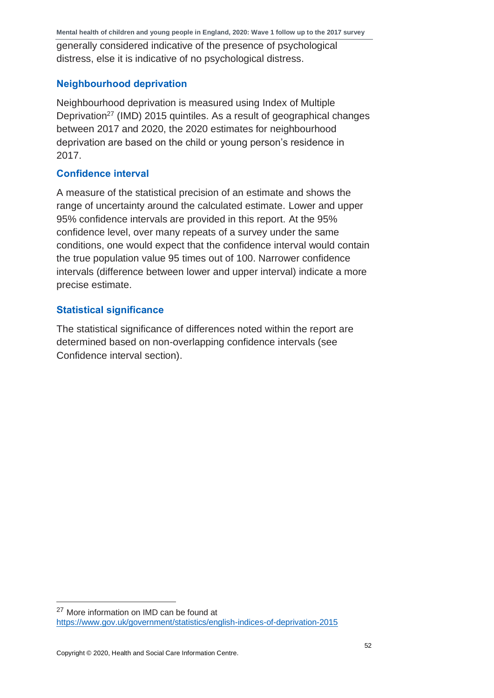generally considered indicative of the presence of psychological distress, else it is indicative of no psychological distress.

#### **Neighbourhood deprivation**

Neighbourhood deprivation is measured using Index of Multiple Deprivation<sup>27</sup> (IMD) 2015 quintiles. As a result of geographical changes between 2017 and 2020, the 2020 estimates for neighbourhood deprivation are based on the child or young person's residence in 2017.

#### **Confidence interval**

A measure of the statistical precision of an estimate and shows the range of uncertainty around the calculated estimate. Lower and upper 95% confidence intervals are provided in this report. At the 95% confidence level, over many repeats of a survey under the same conditions, one would expect that the confidence interval would contain the true population value 95 times out of 100. Narrower confidence intervals (difference between lower and upper interval) indicate a more precise estimate.

#### **Statistical significance**

The statistical significance of differences noted within the report are determined based on non-overlapping confidence intervals (see Confidence interval section).

<sup>&</sup>lt;sup>27</sup> More information on IMD can be found at <https://www.gov.uk/government/statistics/english-indices-of-deprivation-2015>